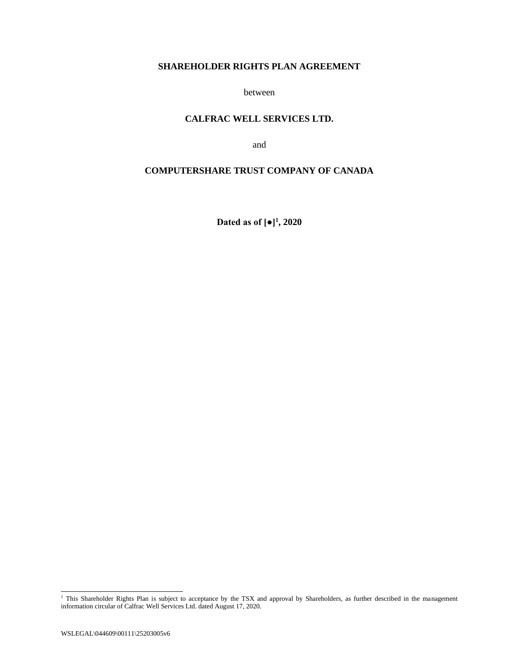# **SHAREHOLDER RIGHTS PLAN AGREEMENT**

between

## **CALFRAC WELL SERVICES LTD.**

and

# **COMPUTERSHARE TRUST COMPANY OF CANADA**

**Dated as of [●]<sup>1</sup> , 2020** 

<sup>&</sup>lt;sup>1</sup> This Shareholder Rights Plan is subject to acceptance by the TSX and approval by Shareholders, as further described in the management information circular of Calfrac Well Services Ltd. dated August 17, 2020.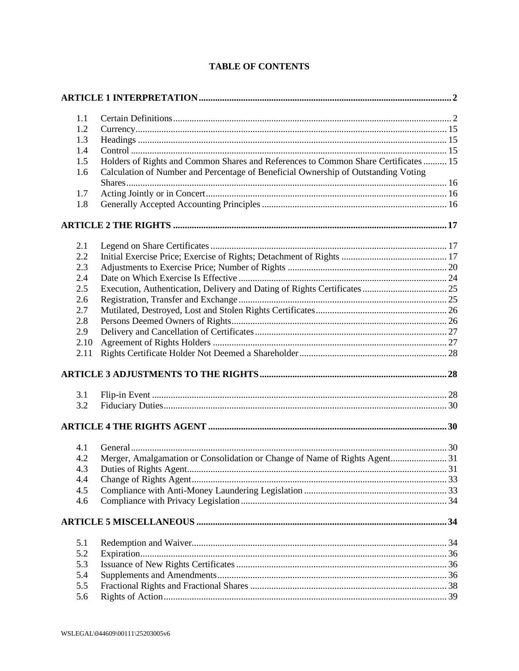| $1.1\,$ |                                                                                     |  |
|---------|-------------------------------------------------------------------------------------|--|
| 1.2     |                                                                                     |  |
| 1.3     |                                                                                     |  |
| 1.4     |                                                                                     |  |
| 1.5     | Holders of Rights and Common Shares and References to Common Share Certificates  15 |  |
| 1.6     | Calculation of Number and Percentage of Beneficial Ownership of Outstanding Voting  |  |
| 1.7     |                                                                                     |  |
| 1.8     |                                                                                     |  |
|         |                                                                                     |  |
|         |                                                                                     |  |
| 2.1     |                                                                                     |  |
| 2.2     |                                                                                     |  |
| 2.3     |                                                                                     |  |
| 2.4     |                                                                                     |  |
| 2.5     |                                                                                     |  |
| 2.6     |                                                                                     |  |
| 2.7     |                                                                                     |  |
| 2.8     |                                                                                     |  |
| 2.9     |                                                                                     |  |
| 2.10    |                                                                                     |  |
| 2.11    |                                                                                     |  |
|         |                                                                                     |  |
| 3.1     |                                                                                     |  |
| 3.2     |                                                                                     |  |
|         |                                                                                     |  |
|         |                                                                                     |  |
| 4.1     |                                                                                     |  |
| 4.2     |                                                                                     |  |
| 4.3     |                                                                                     |  |
| 4.4     |                                                                                     |  |
| 4.5     |                                                                                     |  |
| 4.6     |                                                                                     |  |
|         |                                                                                     |  |
| 5.1     |                                                                                     |  |
| 5.2     |                                                                                     |  |
| 5.3     |                                                                                     |  |
| 5.4     |                                                                                     |  |
| 5.5     |                                                                                     |  |
| 5.6     |                                                                                     |  |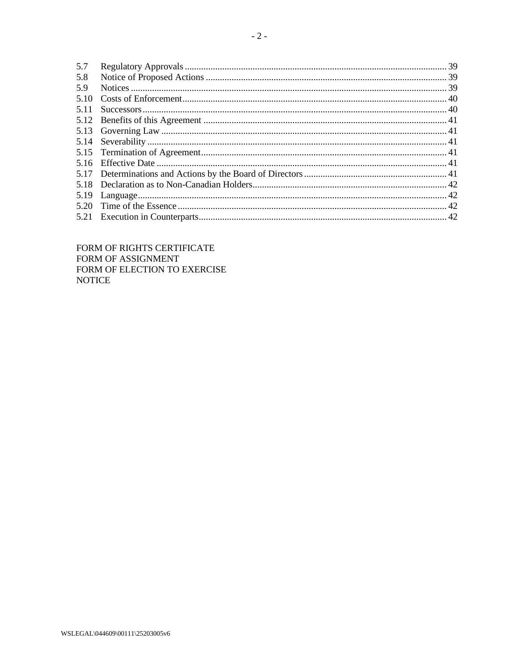| 5.7   |  |
|-------|--|
| 5.8   |  |
| 5.9   |  |
| 5.10  |  |
| 5 1 1 |  |
|       |  |
|       |  |
|       |  |
|       |  |
| 5.16  |  |
|       |  |
| 5.18  |  |
| 5.19  |  |
| 5.20  |  |
| 5.21  |  |
|       |  |

FORM OF RIGHTS CERTIFICATE FORM OF ASSIGNMENT FORM OF ELECTION TO EXERCISE **NOTICE** 

WSLEGAL\044609\00111\25203005v6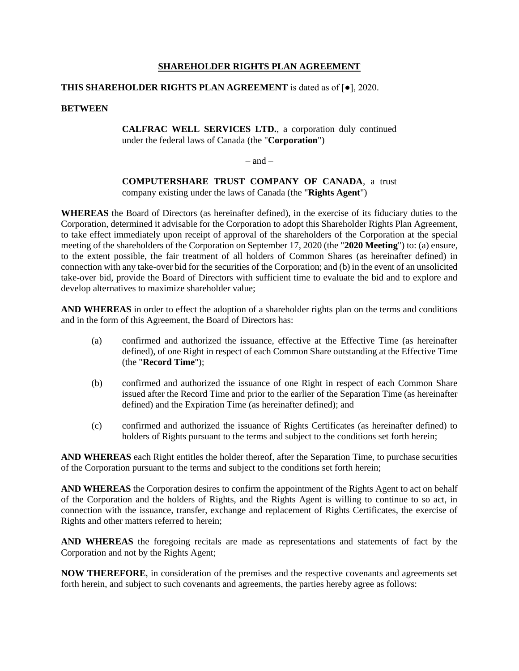### **SHAREHOLDER RIGHTS PLAN AGREEMENT**

### **THIS SHAREHOLDER RIGHTS PLAN AGREEMENT** is dated as of [●], 2020.

#### **BETWEEN**

**CALFRAC WELL SERVICES LTD.**, a corporation duly continued under the federal laws of Canada (the "**Corporation**")

 $=$  and  $=$ 

**COMPUTERSHARE TRUST COMPANY OF CANADA**, a trust company existing under the laws of Canada (the "**Rights Agent**")

**WHEREAS** the Board of Directors (as hereinafter defined), in the exercise of its fiduciary duties to the Corporation, determined it advisable for the Corporation to adopt this Shareholder Rights Plan Agreement, to take effect immediately upon receipt of approval of the shareholders of the Corporation at the special meeting of the shareholders of the Corporation on September 17, 2020 (the "**2020 Meeting**") to: (a) ensure, to the extent possible, the fair treatment of all holders of Common Shares (as hereinafter defined) in connection with any take-over bid for the securities of the Corporation; and (b) in the event of an unsolicited take-over bid, provide the Board of Directors with sufficient time to evaluate the bid and to explore and develop alternatives to maximize shareholder value;

**AND WHEREAS** in order to effect the adoption of a shareholder rights plan on the terms and conditions and in the form of this Agreement, the Board of Directors has:

- (a) confirmed and authorized the issuance, effective at the Effective Time (as hereinafter defined), of one Right in respect of each Common Share outstanding at the Effective Time (the "**Record Time**");
- (b) confirmed and authorized the issuance of one Right in respect of each Common Share issued after the Record Time and prior to the earlier of the Separation Time (as hereinafter defined) and the Expiration Time (as hereinafter defined); and
- (c) confirmed and authorized the issuance of Rights Certificates (as hereinafter defined) to holders of Rights pursuant to the terms and subject to the conditions set forth herein;

**AND WHEREAS** each Right entitles the holder thereof, after the Separation Time, to purchase securities of the Corporation pursuant to the terms and subject to the conditions set forth herein;

**AND WHEREAS** the Corporation desires to confirm the appointment of the Rights Agent to act on behalf of the Corporation and the holders of Rights, and the Rights Agent is willing to continue to so act, in connection with the issuance, transfer, exchange and replacement of Rights Certificates, the exercise of Rights and other matters referred to herein;

**AND WHEREAS** the foregoing recitals are made as representations and statements of fact by the Corporation and not by the Rights Agent;

**NOW THEREFORE**, in consideration of the premises and the respective covenants and agreements set forth herein, and subject to such covenants and agreements, the parties hereby agree as follows: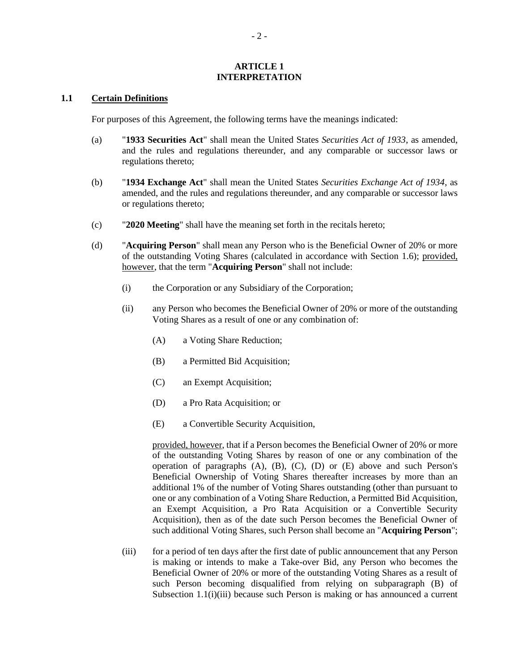#### **ARTICLE 1 INTERPRETATION**

#### **1.1 Certain Definitions**

For purposes of this Agreement, the following terms have the meanings indicated:

- (a) "**1933 Securities Act**" shall mean the United States *Securities Act of 1933*, as amended, and the rules and regulations thereunder, and any comparable or successor laws or regulations thereto;
- (b) "**1934 Exchange Act**" shall mean the United States *Securities Exchange Act of 1934*, as amended, and the rules and regulations thereunder, and any comparable or successor laws or regulations thereto;
- (c) "**2020 Meeting**" shall have the meaning set forth in the recitals hereto;
- <span id="page-4-1"></span><span id="page-4-0"></span>(d) "**Acquiring Person**" shall mean any Person who is the Beneficial Owner of 20% or more of the outstanding Voting Shares (calculated in accordance with Section [1.6\)](#page-18-0); provided, however, that the term "**Acquiring Person**" shall not include:
	- (i) the Corporation or any Subsidiary of the Corporation;
	- (ii) any Person who becomes the Beneficial Owner of 20% or more of the outstanding Voting Shares as a result of one or any combination of:
		- (A) a Voting Share Reduction;
		- (B) a Permitted Bid Acquisition;
		- (C) an Exempt Acquisition;
		- (D) a Pro Rata Acquisition; or
		- (E) a Convertible Security Acquisition,

<span id="page-4-4"></span><span id="page-4-3"></span><span id="page-4-2"></span>provided, however, that if a Person becomes the Beneficial Owner of 20% or more of the outstanding Voting Shares by reason of one or any combination of the operation of paragraphs [\(A\),](#page-4-0) [\(B\),](#page-4-1) [\(C\),](#page-4-2) [\(D\)](#page-4-3) or [\(E\)](#page-4-4) above and such Person's Beneficial Ownership of Voting Shares thereafter increases by more than an additional 1% of the number of Voting Shares outstanding (other than pursuant to one or any combination of a Voting Share Reduction, a Permitted Bid Acquisition, an Exempt Acquisition, a Pro Rata Acquisition or a Convertible Security Acquisition), then as of the date such Person becomes the Beneficial Owner of such additional Voting Shares, such Person shall become an "**Acquiring Person**";

(iii) for a period of ten days after the first date of public announcement that any Person is making or intends to make a Take-over Bid, any Person who becomes the Beneficial Owner of 20% or more of the outstanding Voting Shares as a result of such Person becoming disqualified from relying on subparagraph (B) of Subsection [1.1\(i\)\(iii\)](#page-6-0) because such Person is making or has announced a current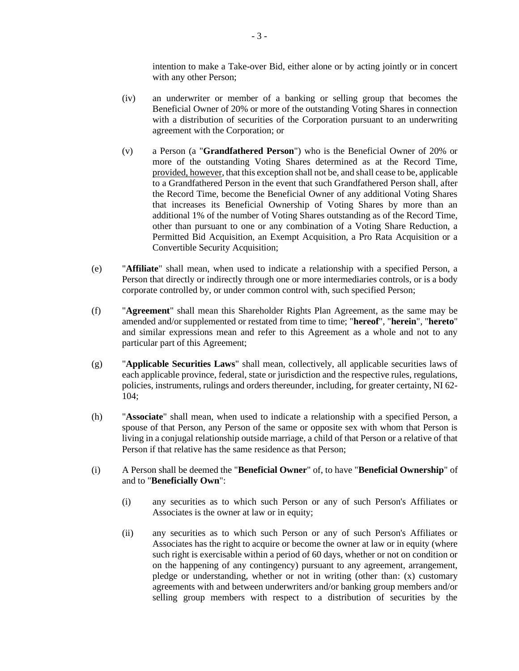intention to make a Take-over Bid, either alone or by acting jointly or in concert with any other Person;

- (iv) an underwriter or member of a banking or selling group that becomes the Beneficial Owner of 20% or more of the outstanding Voting Shares in connection with a distribution of securities of the Corporation pursuant to an underwriting agreement with the Corporation; or
- (v) a Person (a "**Grandfathered Person**") who is the Beneficial Owner of 20% or more of the outstanding Voting Shares determined as at the Record Time, provided, however, that this exception shall not be, and shall cease to be, applicable to a Grandfathered Person in the event that such Grandfathered Person shall, after the Record Time, become the Beneficial Owner of any additional Voting Shares that increases its Beneficial Ownership of Voting Shares by more than an additional 1% of the number of Voting Shares outstanding as of the Record Time, other than pursuant to one or any combination of a Voting Share Reduction, a Permitted Bid Acquisition, an Exempt Acquisition, a Pro Rata Acquisition or a Convertible Security Acquisition;
- (e) "**Affiliate**" shall mean, when used to indicate a relationship with a specified Person, a Person that directly or indirectly through one or more intermediaries controls, or is a body corporate controlled by, or under common control with, such specified Person;
- (f) "**Agreement**" shall mean this Shareholder Rights Plan Agreement, as the same may be amended and/or supplemented or restated from time to time; "**hereof**", "**herein**", "**hereto**" and similar expressions mean and refer to this Agreement as a whole and not to any particular part of this Agreement;
- (g) "**Applicable Securities Laws**" shall mean, collectively, all applicable securities laws of each applicable province, federal, state or jurisdiction and the respective rules, regulations, policies, instruments, rulings and orders thereunder, including, for greater certainty, NI 62- 104;
- (h) "**Associate**" shall mean, when used to indicate a relationship with a specified Person, a spouse of that Person, any Person of the same or opposite sex with whom that Person is living in a conjugal relationship outside marriage, a child of that Person or a relative of that Person if that relative has the same residence as that Person;
- <span id="page-5-1"></span><span id="page-5-0"></span>(i) A Person shall be deemed the "**Beneficial Owner**" of, to have "**Beneficial Ownership**" of and to "**Beneficially Own**":
	- (i) any securities as to which such Person or any of such Person's Affiliates or Associates is the owner at law or in equity;
	- (ii) any securities as to which such Person or any of such Person's Affiliates or Associates has the right to acquire or become the owner at law or in equity (where such right is exercisable within a period of 60 days, whether or not on condition or on the happening of any contingency) pursuant to any agreement, arrangement, pledge or understanding, whether or not in writing (other than: (x) customary agreements with and between underwriters and/or banking group members and/or selling group members with respect to a distribution of securities by the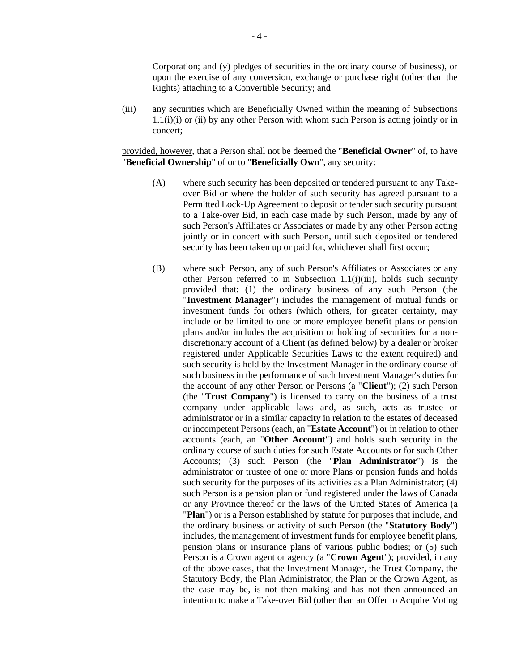Corporation; and (y) pledges of securities in the ordinary course of business), or upon the exercise of any conversion, exchange or purchase right (other than the Rights) attaching to a Convertible Security; and

<span id="page-6-0"></span>(iii) any securities which are Beneficially Owned within the meaning of Subsections [1.1\(i\)\(i\)](#page-5-0) or [\(ii\)](#page-5-1) by any other Person with whom such Person is acting jointly or in concert;

provided, however, that a Person shall not be deemed the "**Beneficial Owner**" of, to have "**Beneficial Ownership**" of or to "**Beneficially Own**", any security:

- (A) where such security has been deposited or tendered pursuant to any Takeover Bid or where the holder of such security has agreed pursuant to a Permitted Lock-Up Agreement to deposit or tender such security pursuant to a Take-over Bid, in each case made by such Person, made by any of such Person's Affiliates or Associates or made by any other Person acting jointly or in concert with such Person, until such deposited or tendered security has been taken up or paid for, whichever shall first occur;
- <span id="page-6-1"></span>(B) where such Person, any of such Person's Affiliates or Associates or any other Person referred to in Subsection [1.1\(i\)\(iii\),](#page-6-0) holds such security provided that: (1) the ordinary business of any such Person (the "**Investment Manager**") includes the management of mutual funds or investment funds for others (which others, for greater certainty, may include or be limited to one or more employee benefit plans or pension plans and/or includes the acquisition or holding of securities for a nondiscretionary account of a Client (as defined below) by a dealer or broker registered under Applicable Securities Laws to the extent required) and such security is held by the Investment Manager in the ordinary course of such business in the performance of such Investment Manager's duties for the account of any other Person or Persons (a "**Client**"); (2) such Person (the "**Trust Company**") is licensed to carry on the business of a trust company under applicable laws and, as such, acts as trustee or administrator or in a similar capacity in relation to the estates of deceased or incompetent Persons (each, an "**Estate Account**") or in relation to other accounts (each, an "**Other Account**") and holds such security in the ordinary course of such duties for such Estate Accounts or for such Other Accounts; (3) such Person (the "**Plan Administrator**") is the administrator or trustee of one or more Plans or pension funds and holds such security for the purposes of its activities as a Plan Administrator; (4) such Person is a pension plan or fund registered under the laws of Canada or any Province thereof or the laws of the United States of America (a "**Plan**") or is a Person established by statute for purposes that include, and the ordinary business or activity of such Person (the "**Statutory Body**") includes, the management of investment funds for employee benefit plans, pension plans or insurance plans of various public bodies; or (5) such Person is a Crown agent or agency (a "**Crown Agent**"); provided, in any of the above cases, that the Investment Manager, the Trust Company, the Statutory Body, the Plan Administrator, the Plan or the Crown Agent, as the case may be, is not then making and has not then announced an intention to make a Take-over Bid (other than an Offer to Acquire Voting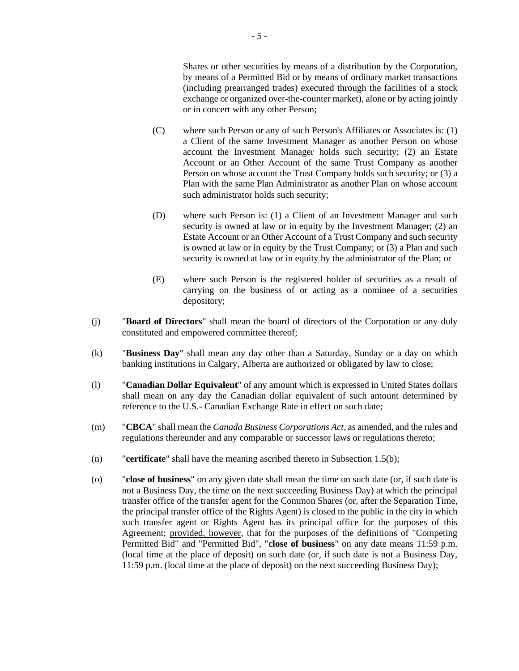Shares or other securities by means of a distribution by the Corporation, by means of a Permitted Bid or by means of ordinary market transactions (including prearranged trades) executed through the facilities of a stock exchange or organized over-the-counter market), alone or by acting jointly or in concert with any other Person;

- (C) where such Person or any of such Person's Affiliates or Associates is: (1) a Client of the same Investment Manager as another Person on whose account the Investment Manager holds such security; (2) an Estate Account or an Other Account of the same Trust Company as another Person on whose account the Trust Company holds such security; or (3) a Plan with the same Plan Administrator as another Plan on whose account such administrator holds such security;
- (D) where such Person is: (1) a Client of an Investment Manager and such security is owned at law or in equity by the Investment Manager; (2) an Estate Account or an Other Account of a Trust Company and such security is owned at law or in equity by the Trust Company; or (3) a Plan and such security is owned at law or in equity by the administrator of the Plan; or
- (E) where such Person is the registered holder of securities as a result of carrying on the business of or acting as a nominee of a securities depository;
- (j) "**Board of Directors**" shall mean the board of directors of the Corporation or any duly constituted and empowered committee thereof;
- (k) "**Business Day**" shall mean any day other than a Saturday, Sunday or a day on which banking institutions in Calgary, Alberta are authorized or obligated by law to close;
- (l) "**Canadian Dollar Equivalent**" of any amount which is expressed in United States dollars shall mean on any day the Canadian dollar equivalent of such amount determined by reference to the U.S.- Canadian Exchange Rate in effect on such date;
- (m) "**CBCA**" shall mean the *Canada Business Corporations Act*, as amended, and the rules and regulations thereunder and any comparable or successor laws or regulations thereto;
- (n) "**certificate**" shall have the meaning ascribed thereto in Subsectio[n 1.5\(](#page-17-0)b);
- (o) "**close of business**" on any given date shall mean the time on such date (or, if such date is not a Business Day, the time on the next succeeding Business Day) at which the principal transfer office of the transfer agent for the Common Shares (or, after the Separation Time, the principal transfer office of the Rights Agent) is closed to the public in the city in which such transfer agent or Rights Agent has its principal office for the purposes of this Agreement; provided, however, that for the purposes of the definitions of "Competing Permitted Bid" and "Permitted Bid", "**close of business**" on any date means 11:59 p.m. (local time at the place of deposit) on such date (or, if such date is not a Business Day, 11:59 p.m. (local time at the place of deposit) on the next succeeding Business Day);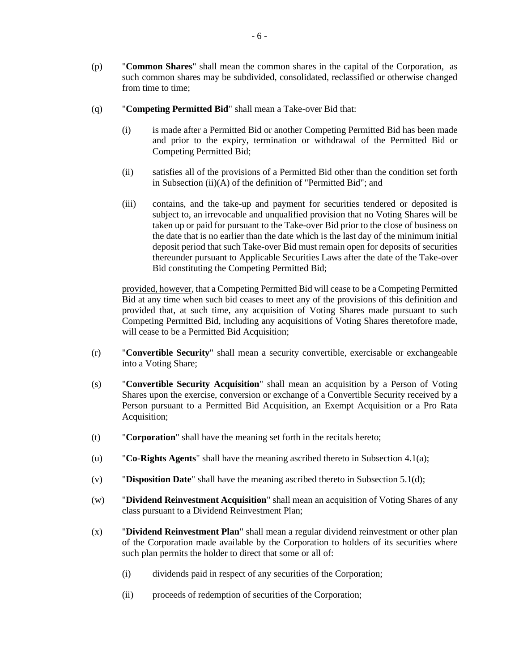- (p) "**Common Shares**" shall mean the common shares in the capital of the Corporation, as such common shares may be subdivided, consolidated, reclassified or otherwise changed from time to time;
- (q) "**Competing Permitted Bid**" shall mean a Take-over Bid that:
	- (i) is made after a Permitted Bid or another Competing Permitted Bid has been made and prior to the expiry, termination or withdrawal of the Permitted Bid or Competing Permitted Bid;
	- (ii) satisfies all of the provisions of a Permitted Bid other than the condition set forth in Subsection [\(ii\)\(](#page-12-0)A) of the definition of "Permitted Bid"; and
	- (iii) contains, and the take-up and payment for securities tendered or deposited is subject to, an irrevocable and unqualified provision that no Voting Shares will be taken up or paid for pursuant to the Take-over Bid prior to the close of business on the date that is no earlier than the date which is the last day of the minimum initial deposit period that such Take-over Bid must remain open for deposits of securities thereunder pursuant to Applicable Securities Laws after the date of the Take-over Bid constituting the Competing Permitted Bid;

provided, however, that a Competing Permitted Bid will cease to be a Competing Permitted Bid at any time when such bid ceases to meet any of the provisions of this definition and provided that, at such time, any acquisition of Voting Shares made pursuant to such Competing Permitted Bid, including any acquisitions of Voting Shares theretofore made, will cease to be a Permitted Bid Acquisition;

- (r) "**Convertible Security**" shall mean a security convertible, exercisable or exchangeable into a Voting Share;
- (s) "**Convertible Security Acquisition**" shall mean an acquisition by a Person of Voting Shares upon the exercise, conversion or exchange of a Convertible Security received by a Person pursuant to a Permitted Bid Acquisition, an Exempt Acquisition or a Pro Rata Acquisition;
- (t) "**Corporation**" shall have the meaning set forth in the recitals hereto;
- (u) "**Co-Rights Agents**" shall have the meaning ascribed thereto in Subsection [4.1\(a\);](#page-32-0)
- (v) "**Disposition Date**" shall have the meaning ascribed thereto in Subsection [5.1\(d\);](#page-37-0)
- (w) "**Dividend Reinvestment Acquisition**" shall mean an acquisition of Voting Shares of any class pursuant to a Dividend Reinvestment Plan;
- (x) "**Dividend Reinvestment Plan**" shall mean a regular dividend reinvestment or other plan of the Corporation made available by the Corporation to holders of its securities where such plan permits the holder to direct that some or all of:
	- (i) dividends paid in respect of any securities of the Corporation;
	- (ii) proceeds of redemption of securities of the Corporation;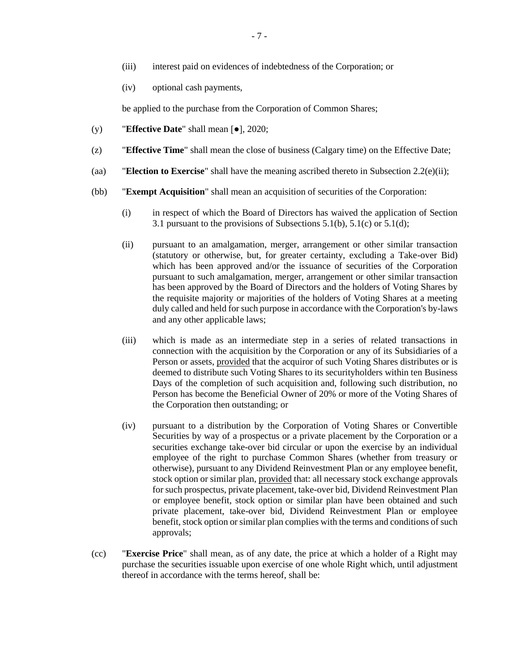- (iii) interest paid on evidences of indebtedness of the Corporation; or
- (iv) optional cash payments,

be applied to the purchase from the Corporation of Common Shares;

- (y) "**Effective Date**" shall mean [●], 2020;
- (z) "**Effective Time**" shall mean the close of business (Calgary time) on the Effective Date;
- (aa) "**Election to Exercise**" shall have the meaning ascribed thereto in Subsection [2.2\(e\)\(ii\);](#page-20-0)
- (bb) "**Exempt Acquisition**" shall mean an acquisition of securities of the Corporation:
	- (i) in respect of which the Board of Directors has waived the application of Section [3.1](#page-30-0) pursuant to the provisions of Subsections [5.1\(b\),](#page-36-0) [5.1\(c\)](#page-36-1) or [5.1\(d\);](#page-37-0)
	- (ii) pursuant to an amalgamation, merger, arrangement or other similar transaction (statutory or otherwise, but, for greater certainty, excluding a Take-over Bid) which has been approved and/or the issuance of securities of the Corporation pursuant to such amalgamation, merger, arrangement or other similar transaction has been approved by the Board of Directors and the holders of Voting Shares by the requisite majority or majorities of the holders of Voting Shares at a meeting duly called and held for such purpose in accordance with the Corporation's by-laws and any other applicable laws;
	- (iii) which is made as an intermediate step in a series of related transactions in connection with the acquisition by the Corporation or any of its Subsidiaries of a Person or assets, provided that the acquiror of such Voting Shares distributes or is deemed to distribute such Voting Shares to its securityholders within ten Business Days of the completion of such acquisition and, following such distribution, no Person has become the Beneficial Owner of 20% or more of the Voting Shares of the Corporation then outstanding; or
	- (iv) pursuant to a distribution by the Corporation of Voting Shares or Convertible Securities by way of a prospectus or a private placement by the Corporation or a securities exchange take-over bid circular or upon the exercise by an individual employee of the right to purchase Common Shares (whether from treasury or otherwise), pursuant to any Dividend Reinvestment Plan or any employee benefit, stock option or similar plan, provided that: all necessary stock exchange approvals for such prospectus, private placement, take-over bid, Dividend Reinvestment Plan or employee benefit, stock option or similar plan have been obtained and such private placement, take-over bid, Dividend Reinvestment Plan or employee benefit, stock option or similar plan complies with the terms and conditions of such approvals;
- (cc) "**Exercise Price**" shall mean, as of any date, the price at which a holder of a Right may purchase the securities issuable upon exercise of one whole Right which, until adjustment thereof in accordance with the terms hereof, shall be: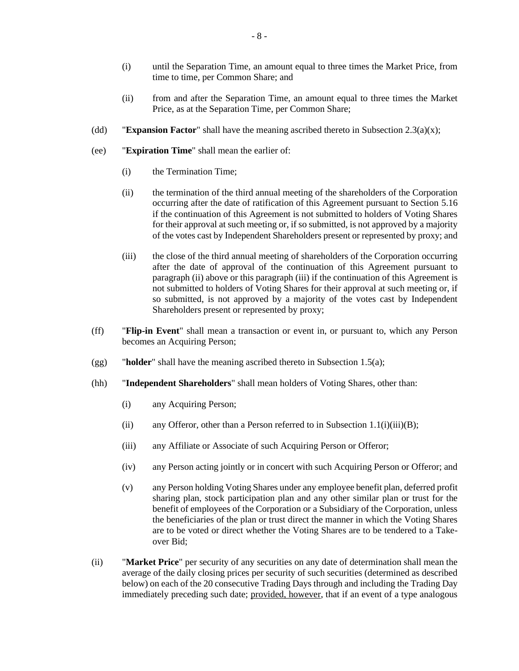- (i) until the Separation Time, an amount equal to three times the Market Price, from time to time, per Common Share; and
- (ii) from and after the Separation Time, an amount equal to three times the Market Price, as at the Separation Time, per Common Share;
- (dd) **Expansion Factor**" shall have the meaning ascribed thereto in Subsection [2.3\(a\)\(](#page-22-0)x);
- <span id="page-10-0"></span>(ee) "**Expiration Time**" shall mean the earlier of:
	- (i) the Termination Time;
	- (ii) the termination of the third annual meeting of the shareholders of the Corporation occurring after the date of ratification of this Agreement pursuant to Section [5.16](#page-43-0) if the continuation of this Agreement is not submitted to holders of Voting Shares for their approval at such meeting or, if so submitted, is not approved by a majority of the votes cast by Independent Shareholders present or represented by proxy; and
	- (iii) the close of the third annual meeting of shareholders of the Corporation occurring after the date of approval of the continuation of this Agreement pursuant to paragrap[h \(ii\)](#page-10-0) above or this paragraph [\(iii\)](#page-10-1) if the continuation of this Agreement is not submitted to holders of Voting Shares for their approval at such meeting or, if so submitted, is not approved by a majority of the votes cast by Independent Shareholders present or represented by proxy;
- <span id="page-10-1"></span>(ff) "**Flip-in Event**" shall mean a transaction or event in, or pursuant to, which any Person becomes an Acquiring Person;
- (gg) "**holder**" shall have the meaning ascribed thereto in Subsection [1.5\(](#page-17-0)a);
- <span id="page-10-2"></span>(hh) "**Independent Shareholders**" shall mean holders of Voting Shares, other than:
	- (i) any Acquiring Person;
	- (ii) any Offeror, other than a Person referred to in Subsection  $1.1(i)(iii)(B)$ ;
	- (iii) any Affiliate or Associate of such Acquiring Person or Offeror;
	- (iv) any Person acting jointly or in concert with such Acquiring Person or Offeror; and
	- (v) any Person holding Voting Shares under any employee benefit plan, deferred profit sharing plan, stock participation plan and any other similar plan or trust for the benefit of employees of the Corporation or a Subsidiary of the Corporation, unless the beneficiaries of the plan or trust direct the manner in which the Voting Shares are to be voted or direct whether the Voting Shares are to be tendered to a Takeover Bid;
- <span id="page-10-3"></span>(ii) "**Market Price**" per security of any securities on any date of determination shall mean the average of the daily closing prices per security of such securities (determined as described below) on each of the 20 consecutive Trading Days through and including the Trading Day immediately preceding such date; provided, however, that if an event of a type analogous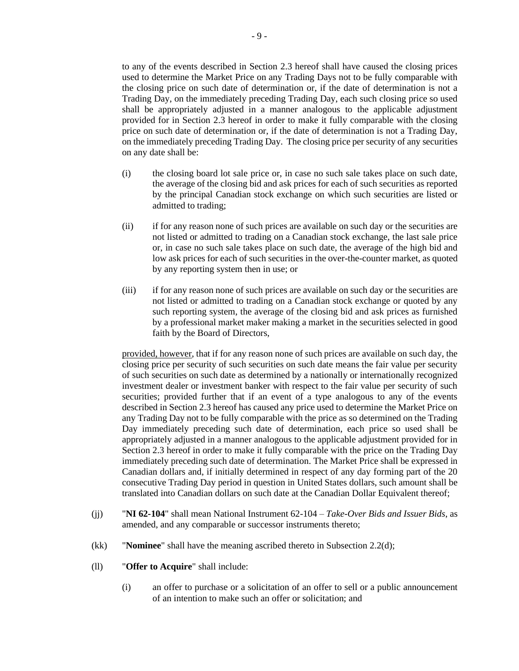to any of the events described in Section [2.3](#page-22-1) hereof shall have caused the closing prices used to determine the Market Price on any Trading Days not to be fully comparable with the closing price on such date of determination or, if the date of determination is not a Trading Day, on the immediately preceding Trading Day, each such closing price so used shall be appropriately adjusted in a manner analogous to the applicable adjustment provided for in Section [2.3](#page-22-1) hereof in order to make it fully comparable with the closing price on such date of determination or, if the date of determination is not a Trading Day, on the immediately preceding Trading Day. The closing price per security of any securities on any date shall be:

- (i) the closing board lot sale price or, in case no such sale takes place on such date, the average of the closing bid and ask prices for each of such securities as reported by the principal Canadian stock exchange on which such securities are listed or admitted to trading;
- (ii) if for any reason none of such prices are available on such day or the securities are not listed or admitted to trading on a Canadian stock exchange, the last sale price or, in case no such sale takes place on such date, the average of the high bid and low ask prices for each of such securities in the over-the-counter market, as quoted by any reporting system then in use; or
- (iii) if for any reason none of such prices are available on such day or the securities are not listed or admitted to trading on a Canadian stock exchange or quoted by any such reporting system, the average of the closing bid and ask prices as furnished by a professional market maker making a market in the securities selected in good faith by the Board of Directors,

provided, however, that if for any reason none of such prices are available on such day, the closing price per security of such securities on such date means the fair value per security of such securities on such date as determined by a nationally or internationally recognized investment dealer or investment banker with respect to the fair value per security of such securities; provided further that if an event of a type analogous to any of the events described in Section [2.3](#page-22-1) hereof has caused any price used to determine the Market Price on any Trading Day not to be fully comparable with the price as so determined on the Trading Day immediately preceding such date of determination, each price so used shall be appropriately adjusted in a manner analogous to the applicable adjustment provided for in Section [2.3](#page-22-1) hereof in order to make it fully comparable with the price on the Trading Day immediately preceding such date of determination. The Market Price shall be expressed in Canadian dollars and, if initially determined in respect of any day forming part of the 20 consecutive Trading Day period in question in United States dollars, such amount shall be translated into Canadian dollars on such date at the Canadian Dollar Equivalent thereof;

- (jj) "**NI 62-104**" shall mean National Instrument 62-104 *Take-Over Bids and Issuer Bids*, as amended, and any comparable or successor instruments thereto;
- (kk) "**Nominee**" shall have the meaning ascribed thereto in Subsection [2.2\(d\);](#page-20-1)
- (ll) "**Offer to Acquire**" shall include:
	- (i) an offer to purchase or a solicitation of an offer to sell or a public announcement of an intention to make such an offer or solicitation; and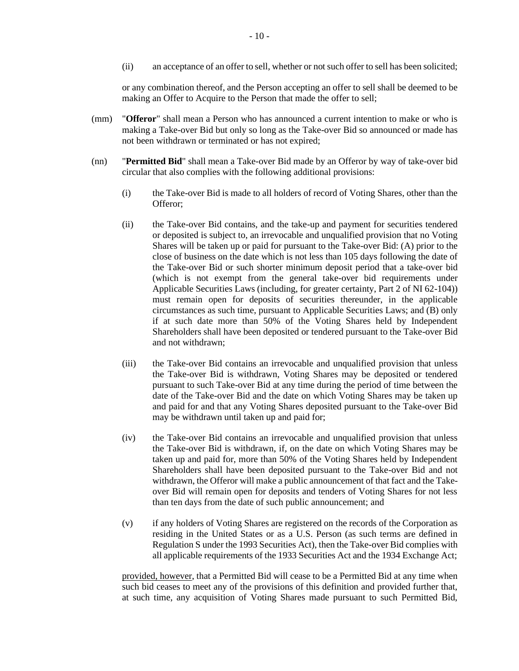(ii) an acceptance of an offer to sell, whether or not such offer to sell has been solicited;

or any combination thereof, and the Person accepting an offer to sell shall be deemed to be making an Offer to Acquire to the Person that made the offer to sell;

- (mm) "**Offeror**" shall mean a Person who has announced a current intention to make or who is making a Take-over Bid but only so long as the Take-over Bid so announced or made has not been withdrawn or terminated or has not expired;
- <span id="page-12-1"></span><span id="page-12-0"></span>(nn) "**Permitted Bid**" shall mean a Take-over Bid made by an Offeror by way of take-over bid circular that also complies with the following additional provisions:
	- (i) the Take-over Bid is made to all holders of record of Voting Shares, other than the Offeror;
	- (ii) the Take-over Bid contains, and the take-up and payment for securities tendered or deposited is subject to, an irrevocable and unqualified provision that no Voting Shares will be taken up or paid for pursuant to the Take-over Bid: (A) prior to the close of business on the date which is not less than 105 days following the date of the Take-over Bid or such shorter minimum deposit period that a take-over bid (which is not exempt from the general take-over bid requirements under Applicable Securities Laws (including, for greater certainty, Part 2 of NI 62-104)) must remain open for deposits of securities thereunder, in the applicable circumstances as such time, pursuant to Applicable Securities Laws; and (B) only if at such date more than 50% of the Voting Shares held by Independent Shareholders shall have been deposited or tendered pursuant to the Take-over Bid and not withdrawn;
	- (iii) the Take-over Bid contains an irrevocable and unqualified provision that unless the Take-over Bid is withdrawn, Voting Shares may be deposited or tendered pursuant to such Take-over Bid at any time during the period of time between the date of the Take-over Bid and the date on which Voting Shares may be taken up and paid for and that any Voting Shares deposited pursuant to the Take-over Bid may be withdrawn until taken up and paid for;
	- (iv) the Take-over Bid contains an irrevocable and unqualified provision that unless the Take-over Bid is withdrawn, if, on the date on which Voting Shares may be taken up and paid for, more than 50% of the Voting Shares held by Independent Shareholders shall have been deposited pursuant to the Take-over Bid and not withdrawn, the Offeror will make a public announcement of that fact and the Takeover Bid will remain open for deposits and tenders of Voting Shares for not less than ten days from the date of such public announcement; and
	- (v) if any holders of Voting Shares are registered on the records of the Corporation as residing in the United States or as a U.S. Person (as such terms are defined in Regulation S under the 1993 Securities Act), then the Take-over Bid complies with all applicable requirements of the 1933 Securities Act and the 1934 Exchange Act;

provided, however, that a Permitted Bid will cease to be a Permitted Bid at any time when such bid ceases to meet any of the provisions of this definition and provided further that, at such time, any acquisition of Voting Shares made pursuant to such Permitted Bid,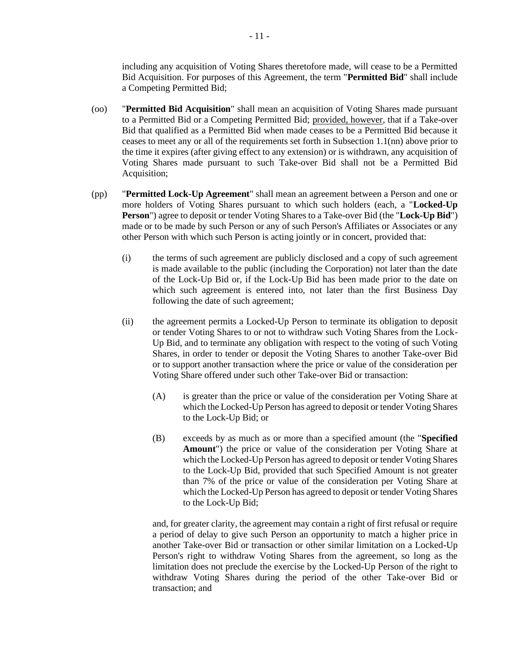including any acquisition of Voting Shares theretofore made, will cease to be a Permitted Bid Acquisition. For purposes of this Agreement, the term "**Permitted Bid**" shall include a Competing Permitted Bid;

- (oo) "**Permitted Bid Acquisition**" shall mean an acquisition of Voting Shares made pursuant to a Permitted Bid or a Competing Permitted Bid; provided, however, that if a Take-over Bid that qualified as a Permitted Bid when made ceases to be a Permitted Bid because it ceases to meet any or all of the requirements set forth in Subsectio[n 1.1\(nn\)](#page-12-1) above prior to the time it expires (after giving effect to any extension) or is withdrawn, any acquisition of Voting Shares made pursuant to such Take-over Bid shall not be a Permitted Bid Acquisition;
- (pp) "**Permitted Lock-Up Agreement**" shall mean an agreement between a Person and one or more holders of Voting Shares pursuant to which such holders (each, a "**Locked-Up Person**") agree to deposit or tender Voting Shares to a Take-over Bid (the "**Lock-Up Bid**") made or to be made by such Person or any of such Person's Affiliates or Associates or any other Person with which such Person is acting jointly or in concert, provided that:
	- (i) the terms of such agreement are publicly disclosed and a copy of such agreement is made available to the public (including the Corporation) not later than the date of the Lock-Up Bid or, if the Lock-Up Bid has been made prior to the date on which such agreement is entered into, not later than the first Business Day following the date of such agreement;
	- (ii) the agreement permits a Locked-Up Person to terminate its obligation to deposit or tender Voting Shares to or not to withdraw such Voting Shares from the Lock-Up Bid, and to terminate any obligation with respect to the voting of such Voting Shares, in order to tender or deposit the Voting Shares to another Take-over Bid or to support another transaction where the price or value of the consideration per Voting Share offered under such other Take-over Bid or transaction:
		- (A) is greater than the price or value of the consideration per Voting Share at which the Locked-Up Person has agreed to deposit or tender Voting Shares to the Lock-Up Bid; or
		- (B) exceeds by as much as or more than a specified amount (the "**Specified Amount**") the price or value of the consideration per Voting Share at which the Locked-Up Person has agreed to deposit or tender Voting Shares to the Lock-Up Bid, provided that such Specified Amount is not greater than 7% of the price or value of the consideration per Voting Share at which the Locked-Up Person has agreed to deposit or tender Voting Shares to the Lock-Up Bid;

and, for greater clarity, the agreement may contain a right of first refusal or require a period of delay to give such Person an opportunity to match a higher price in another Take-over Bid or transaction or other similar limitation on a Locked-Up Person's right to withdraw Voting Shares from the agreement, so long as the limitation does not preclude the exercise by the Locked-Up Person of the right to withdraw Voting Shares during the period of the other Take-over Bid or transaction; and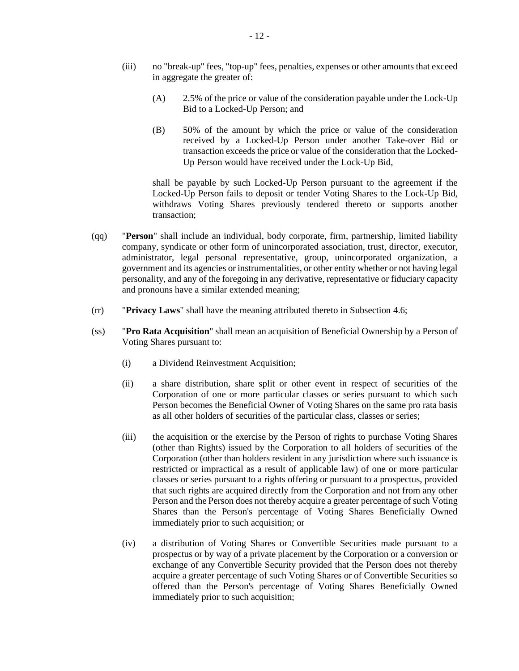- (iii) no "break-up" fees, "top-up" fees, penalties, expenses or other amounts that exceed in aggregate the greater of:
	- (A) 2.5% of the price or value of the consideration payable under the Lock-Up Bid to a Locked-Up Person; and
	- (B) 50% of the amount by which the price or value of the consideration received by a Locked-Up Person under another Take-over Bid or transaction exceeds the price or value of the consideration that the Locked-Up Person would have received under the Lock-Up Bid,

shall be payable by such Locked-Up Person pursuant to the agreement if the Locked-Up Person fails to deposit or tender Voting Shares to the Lock-Up Bid, withdraws Voting Shares previously tendered thereto or supports another transaction;

- (qq) "**Person**" shall include an individual, body corporate, firm, partnership, limited liability company, syndicate or other form of unincorporated association, trust, director, executor, administrator, legal personal representative, group, unincorporated organization, a government and its agencies or instrumentalities, or other entity whether or not having legal personality, and any of the foregoing in any derivative, representative or fiduciary capacity and pronouns have a similar extended meaning;
- (rr) "**Privacy Laws**" shall have the meaning attributed thereto in Subsection [4.6;](#page-36-2)
- (ss) "**Pro Rata Acquisition**" shall mean an acquisition of Beneficial Ownership by a Person of Voting Shares pursuant to:
	- (i) a Dividend Reinvestment Acquisition;
	- (ii) a share distribution, share split or other event in respect of securities of the Corporation of one or more particular classes or series pursuant to which such Person becomes the Beneficial Owner of Voting Shares on the same pro rata basis as all other holders of securities of the particular class, classes or series;
	- (iii) the acquisition or the exercise by the Person of rights to purchase Voting Shares (other than Rights) issued by the Corporation to all holders of securities of the Corporation (other than holders resident in any jurisdiction where such issuance is restricted or impractical as a result of applicable law) of one or more particular classes or series pursuant to a rights offering or pursuant to a prospectus, provided that such rights are acquired directly from the Corporation and not from any other Person and the Person does not thereby acquire a greater percentage of such Voting Shares than the Person's percentage of Voting Shares Beneficially Owned immediately prior to such acquisition; or
	- (iv) a distribution of Voting Shares or Convertible Securities made pursuant to a prospectus or by way of a private placement by the Corporation or a conversion or exchange of any Convertible Security provided that the Person does not thereby acquire a greater percentage of such Voting Shares or of Convertible Securities so offered than the Person's percentage of Voting Shares Beneficially Owned immediately prior to such acquisition;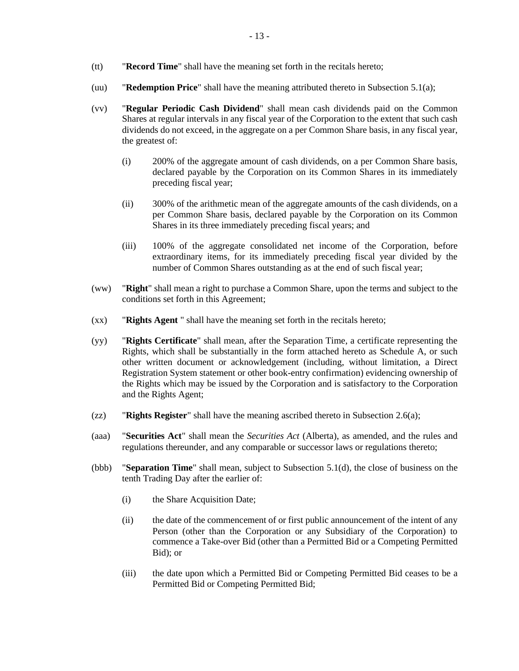- (tt) "**Record Time**" shall have the meaning set forth in the recitals hereto;
- (uu) "**Redemption Price**" shall have the meaning attributed thereto in Subsectio[n 5.1\(a\);](#page-36-3)
- (vv) "**Regular Periodic Cash Dividend**" shall mean cash dividends paid on the Common Shares at regular intervals in any fiscal year of the Corporation to the extent that such cash dividends do not exceed, in the aggregate on a per Common Share basis, in any fiscal year, the greatest of:
	- (i) 200% of the aggregate amount of cash dividends, on a per Common Share basis, declared payable by the Corporation on its Common Shares in its immediately preceding fiscal year;
	- (ii) 300% of the arithmetic mean of the aggregate amounts of the cash dividends, on a per Common Share basis, declared payable by the Corporation on its Common Shares in its three immediately preceding fiscal years; and
	- (iii) 100% of the aggregate consolidated net income of the Corporation, before extraordinary items, for its immediately preceding fiscal year divided by the number of Common Shares outstanding as at the end of such fiscal year;
- (ww) "**Right**" shall mean a right to purchase a Common Share, upon the terms and subject to the conditions set forth in this Agreement;
- (xx) "**Rights Agent** " shall have the meaning set forth in the recitals hereto;
- (yy) "**Rights Certificate**" shall mean, after the Separation Time, a certificate representing the Rights, which shall be substantially in the form attached hereto as Schedule A, or such other written document or acknowledgement (including, without limitation, a Direct Registration System statement or other book-entry confirmation) evidencing ownership of the Rights which may be issued by the Corporation and is satisfactory to the Corporation and the Rights Agent;
- (zz) "**Rights Register**" shall have the meaning ascribed thereto in Subsection [2.6\(a\);](#page-27-0)
- (aaa) "**Securities Act**" shall mean the *Securities Act* (Alberta), as amended, and the rules and regulations thereunder, and any comparable or successor laws or regulations thereto;
- <span id="page-15-1"></span><span id="page-15-0"></span>(bbb) "**Separation Time**" shall mean, subject to Subsection [5.1\(d\),](#page-37-0) the close of business on the tenth Trading Day after the earlier of:
	- (i) the Share Acquisition Date;
	- (ii) the date of the commencement of or first public announcement of the intent of any Person (other than the Corporation or any Subsidiary of the Corporation) to commence a Take-over Bid (other than a Permitted Bid or a Competing Permitted Bid); or
	- (iii) the date upon which a Permitted Bid or Competing Permitted Bid ceases to be a Permitted Bid or Competing Permitted Bid;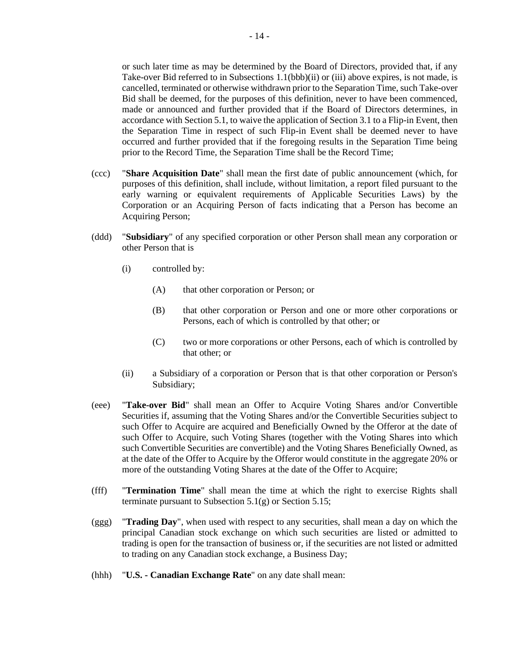or such later time as may be determined by the Board of Directors, provided that, if any Take-over Bid referred to in Subsection[s 1.1\(bbb\)\(ii\)](#page-15-0) or [\(iii\)](#page-15-1) above expires, is not made, is cancelled, terminated or otherwise withdrawn prior to the Separation Time, such Take-over Bid shall be deemed, for the purposes of this definition, never to have been commenced, made or announced and further provided that if the Board of Directors determines, in accordance with Sectio[n 5.1,](#page-36-4) to waive the application of Sectio[n 3.1](#page-30-0) to a Flip-in Event, then the Separation Time in respect of such Flip-in Event shall be deemed never to have occurred and further provided that if the foregoing results in the Separation Time being prior to the Record Time, the Separation Time shall be the Record Time;

- (ccc) "**Share Acquisition Date**" shall mean the first date of public announcement (which, for purposes of this definition, shall include, without limitation, a report filed pursuant to the early warning or equivalent requirements of Applicable Securities Laws) by the Corporation or an Acquiring Person of facts indicating that a Person has become an Acquiring Person;
- (ddd) "**Subsidiary**" of any specified corporation or other Person shall mean any corporation or other Person that is
	- (i) controlled by:
		- (A) that other corporation or Person; or
		- (B) that other corporation or Person and one or more other corporations or Persons, each of which is controlled by that other; or
		- (C) two or more corporations or other Persons, each of which is controlled by that other; or
	- (ii) a Subsidiary of a corporation or Person that is that other corporation or Person's Subsidiary;
- (eee) "**Take-over Bid**" shall mean an Offer to Acquire Voting Shares and/or Convertible Securities if, assuming that the Voting Shares and/or the Convertible Securities subject to such Offer to Acquire are acquired and Beneficially Owned by the Offeror at the date of such Offer to Acquire, such Voting Shares (together with the Voting Shares into which such Convertible Securities are convertible) and the Voting Shares Beneficially Owned, as at the date of the Offer to Acquire by the Offeror would constitute in the aggregate 20% or more of the outstanding Voting Shares at the date of the Offer to Acquire;
- (fff) "**Termination Time**" shall mean the time at which the right to exercise Rights shall terminate pursuant to Subsection [5.1\(g\)](#page-37-1) or Section [5.15;](#page-43-1)
- (ggg) "**Trading Day**", when used with respect to any securities, shall mean a day on which the principal Canadian stock exchange on which such securities are listed or admitted to trading is open for the transaction of business or, if the securities are not listed or admitted to trading on any Canadian stock exchange, a Business Day;
- (hhh) "**U.S. - Canadian Exchange Rate**" on any date shall mean: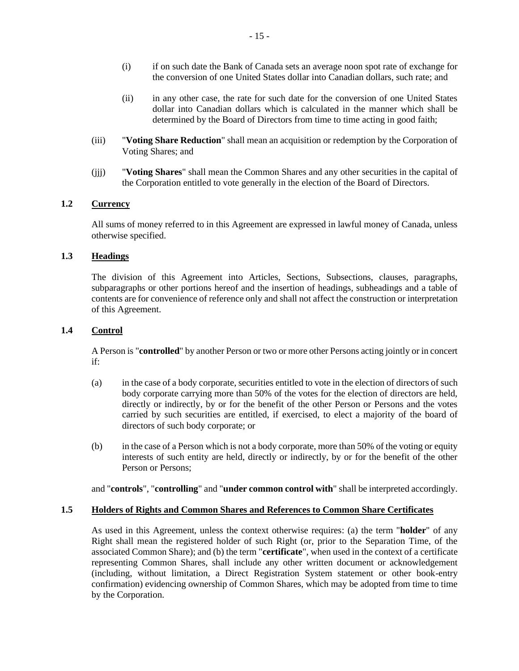- (i) if on such date the Bank of Canada sets an average noon spot rate of exchange for the conversion of one United States dollar into Canadian dollars, such rate; and
- (ii) in any other case, the rate for such date for the conversion of one United States dollar into Canadian dollars which is calculated in the manner which shall be determined by the Board of Directors from time to time acting in good faith;
- (iii) "**Voting Share Reduction**" shall mean an acquisition or redemption by the Corporation of Voting Shares; and
- (jjj) "**Voting Shares**" shall mean the Common Shares and any other securities in the capital of the Corporation entitled to vote generally in the election of the Board of Directors.

#### **1.2 Currency**

All sums of money referred to in this Agreement are expressed in lawful money of Canada, unless otherwise specified.

## **1.3 Headings**

The division of this Agreement into Articles, Sections, Subsections, clauses, paragraphs, subparagraphs or other portions hereof and the insertion of headings, subheadings and a table of contents are for convenience of reference only and shall not affect the construction or interpretation of this Agreement.

#### **1.4 Control**

A Person is "**controlled**" by another Person or two or more other Persons acting jointly or in concert if:

- (a) in the case of a body corporate, securities entitled to vote in the election of directors of such body corporate carrying more than 50% of the votes for the election of directors are held, directly or indirectly, by or for the benefit of the other Person or Persons and the votes carried by such securities are entitled, if exercised, to elect a majority of the board of directors of such body corporate; or
- (b) in the case of a Person which is not a body corporate, more than 50% of the voting or equity interests of such entity are held, directly or indirectly, by or for the benefit of the other Person or Persons;

and "**controls**", "**controlling**" and "**under common control with**" shall be interpreted accordingly.

#### <span id="page-17-0"></span>**1.5 Holders of Rights and Common Shares and References to Common Share Certificates**

As used in this Agreement, unless the context otherwise requires: (a) the term "**holder**" of any Right shall mean the registered holder of such Right (or, prior to the Separation Time, of the associated Common Share); and (b) the term "**certificate**", when used in the context of a certificate representing Common Shares, shall include any other written document or acknowledgement (including, without limitation, a Direct Registration System statement or other book-entry confirmation) evidencing ownership of Common Shares, which may be adopted from time to time by the Corporation.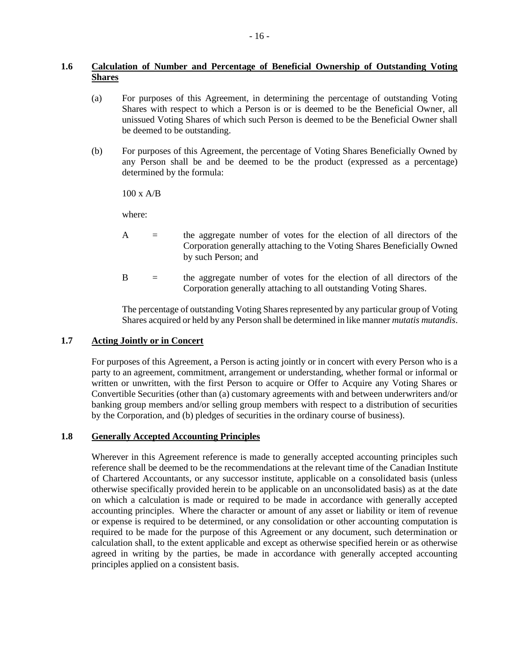# <span id="page-18-0"></span>**1.6 Calculation of Number and Percentage of Beneficial Ownership of Outstanding Voting Shares**

- (a) For purposes of this Agreement, in determining the percentage of outstanding Voting Shares with respect to which a Person is or is deemed to be the Beneficial Owner, all unissued Voting Shares of which such Person is deemed to be the Beneficial Owner shall be deemed to be outstanding.
- (b) For purposes of this Agreement, the percentage of Voting Shares Beneficially Owned by any Person shall be and be deemed to be the product (expressed as a percentage) determined by the formula:

100 x A/B

where:

- A = the aggregate number of votes for the election of all directors of the Corporation generally attaching to the Voting Shares Beneficially Owned by such Person; and
- B = the aggregate number of votes for the election of all directors of the Corporation generally attaching to all outstanding Voting Shares.

The percentage of outstanding Voting Shares represented by any particular group of Voting Shares acquired or held by any Person shall be determined in like manner *mutatis mutandis*.

## **1.7 Acting Jointly or in Concert**

For purposes of this Agreement, a Person is acting jointly or in concert with every Person who is a party to an agreement, commitment, arrangement or understanding, whether formal or informal or written or unwritten, with the first Person to acquire or Offer to Acquire any Voting Shares or Convertible Securities (other than (a) customary agreements with and between underwriters and/or banking group members and/or selling group members with respect to a distribution of securities by the Corporation, and (b) pledges of securities in the ordinary course of business).

# **1.8 Generally Accepted Accounting Principles**

Wherever in this Agreement reference is made to generally accepted accounting principles such reference shall be deemed to be the recommendations at the relevant time of the Canadian Institute of Chartered Accountants, or any successor institute, applicable on a consolidated basis (unless otherwise specifically provided herein to be applicable on an unconsolidated basis) as at the date on which a calculation is made or required to be made in accordance with generally accepted accounting principles. Where the character or amount of any asset or liability or item of revenue or expense is required to be determined, or any consolidation or other accounting computation is required to be made for the purpose of this Agreement or any document, such determination or calculation shall, to the extent applicable and except as otherwise specified herein or as otherwise agreed in writing by the parties, be made in accordance with generally accepted accounting principles applied on a consistent basis.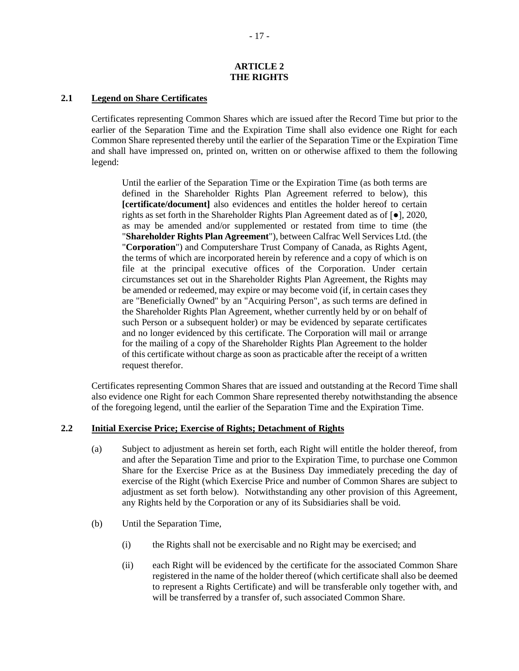#### **ARTICLE 2 THE RIGHTS**

## **2.1 Legend on Share Certificates**

Certificates representing Common Shares which are issued after the Record Time but prior to the earlier of the Separation Time and the Expiration Time shall also evidence one Right for each Common Share represented thereby until the earlier of the Separation Time or the Expiration Time and shall have impressed on, printed on, written on or otherwise affixed to them the following legend:

Until the earlier of the Separation Time or the Expiration Time (as both terms are defined in the Shareholder Rights Plan Agreement referred to below), this **[certificate/document]** also evidences and entitles the holder hereof to certain rights as set forth in the Shareholder Rights Plan Agreement dated as of [●], 2020, as may be amended and/or supplemented or restated from time to time (the "**Shareholder Rights Plan Agreement**"), between Calfrac Well Services Ltd. (the "**Corporation**") and Computershare Trust Company of Canada, as Rights Agent, the terms of which are incorporated herein by reference and a copy of which is on file at the principal executive offices of the Corporation. Under certain circumstances set out in the Shareholder Rights Plan Agreement, the Rights may be amended or redeemed, may expire or may become void (if, in certain cases they are "Beneficially Owned" by an "Acquiring Person", as such terms are defined in the Shareholder Rights Plan Agreement, whether currently held by or on behalf of such Person or a subsequent holder) or may be evidenced by separate certificates and no longer evidenced by this certificate. The Corporation will mail or arrange for the mailing of a copy of the Shareholder Rights Plan Agreement to the holder of this certificate without charge as soon as practicable after the receipt of a written request therefor.

Certificates representing Common Shares that are issued and outstanding at the Record Time shall also evidence one Right for each Common Share represented thereby notwithstanding the absence of the foregoing legend, until the earlier of the Separation Time and the Expiration Time.

#### **2.2 Initial Exercise Price; Exercise of Rights; Detachment of Rights**

- (a) Subject to adjustment as herein set forth, each Right will entitle the holder thereof, from and after the Separation Time and prior to the Expiration Time, to purchase one Common Share for the Exercise Price as at the Business Day immediately preceding the day of exercise of the Right (which Exercise Price and number of Common Shares are subject to adjustment as set forth below). Notwithstanding any other provision of this Agreement, any Rights held by the Corporation or any of its Subsidiaries shall be void.
- (b) Until the Separation Time,
	- (i) the Rights shall not be exercisable and no Right may be exercised; and
	- (ii) each Right will be evidenced by the certificate for the associated Common Share registered in the name of the holder thereof (which certificate shall also be deemed to represent a Rights Certificate) and will be transferable only together with, and will be transferred by a transfer of, such associated Common Share.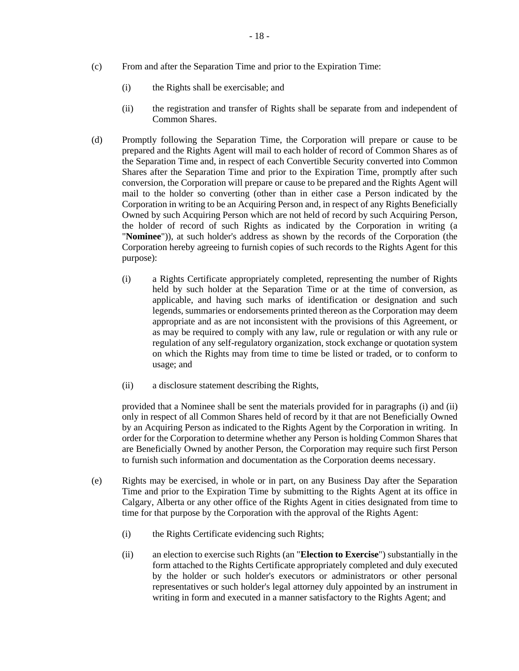- (c) From and after the Separation Time and prior to the Expiration Time:
	- (i) the Rights shall be exercisable; and
	- (ii) the registration and transfer of Rights shall be separate from and independent of Common Shares.
- <span id="page-20-2"></span><span id="page-20-1"></span>(d) Promptly following the Separation Time, the Corporation will prepare or cause to be prepared and the Rights Agent will mail to each holder of record of Common Shares as of the Separation Time and, in respect of each Convertible Security converted into Common Shares after the Separation Time and prior to the Expiration Time, promptly after such conversion, the Corporation will prepare or cause to be prepared and the Rights Agent will mail to the holder so converting (other than in either case a Person indicated by the Corporation in writing to be an Acquiring Person and, in respect of any Rights Beneficially Owned by such Acquiring Person which are not held of record by such Acquiring Person, the holder of record of such Rights as indicated by the Corporation in writing (a "**Nominee**")), at such holder's address as shown by the records of the Corporation (the Corporation hereby agreeing to furnish copies of such records to the Rights Agent for this purpose):
	- (i) a Rights Certificate appropriately completed, representing the number of Rights held by such holder at the Separation Time or at the time of conversion, as applicable, and having such marks of identification or designation and such legends, summaries or endorsements printed thereon as the Corporation may deem appropriate and as are not inconsistent with the provisions of this Agreement, or as may be required to comply with any law, rule or regulation or with any rule or regulation of any self-regulatory organization, stock exchange or quotation system on which the Rights may from time to time be listed or traded, or to conform to usage; and
	- (ii) a disclosure statement describing the Rights,

<span id="page-20-3"></span>provided that a Nominee shall be sent the materials provided for in paragraphs [\(i\)](#page-20-2) and [\(ii\)](#page-20-3) only in respect of all Common Shares held of record by it that are not Beneficially Owned by an Acquiring Person as indicated to the Rights Agent by the Corporation in writing. In order for the Corporation to determine whether any Person is holding Common Shares that are Beneficially Owned by another Person, the Corporation may require such first Person to furnish such information and documentation as the Corporation deems necessary.

- <span id="page-20-4"></span><span id="page-20-0"></span>(e) Rights may be exercised, in whole or in part, on any Business Day after the Separation Time and prior to the Expiration Time by submitting to the Rights Agent at its office in Calgary, Alberta or any other office of the Rights Agent in cities designated from time to time for that purpose by the Corporation with the approval of the Rights Agent:
	- (i) the Rights Certificate evidencing such Rights;
	- (ii) an election to exercise such Rights (an "**Election to Exercise**") substantially in the form attached to the Rights Certificate appropriately completed and duly executed by the holder or such holder's executors or administrators or other personal representatives or such holder's legal attorney duly appointed by an instrument in writing in form and executed in a manner satisfactory to the Rights Agent; and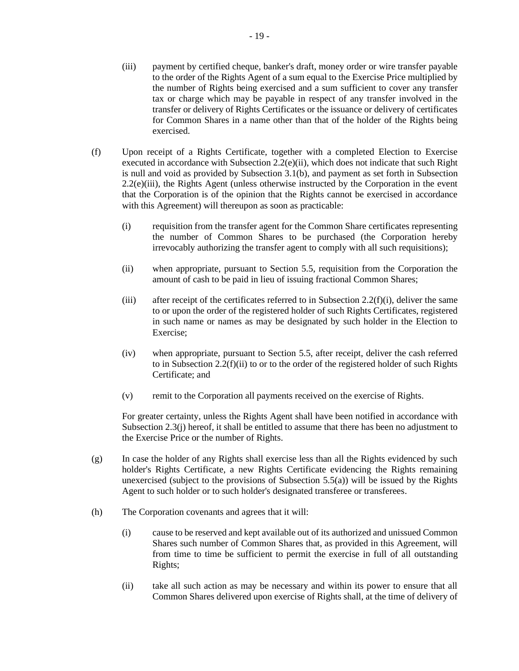- <span id="page-21-0"></span>(iii) payment by certified cheque, banker's draft, money order or wire transfer payable to the order of the Rights Agent of a sum equal to the Exercise Price multiplied by the number of Rights being exercised and a sum sufficient to cover any transfer tax or charge which may be payable in respect of any transfer involved in the transfer or delivery of Rights Certificates or the issuance or delivery of certificates for Common Shares in a name other than that of the holder of the Rights being exercised.
- <span id="page-21-2"></span><span id="page-21-1"></span>(f) Upon receipt of a Rights Certificate, together with a completed Election to Exercise executed in accordance with Subsection  $2.2(e)(ii)$ , which does not indicate that such Right is null and void as provided by Subsection [3.1\(b\),](#page-31-0) and payment as set forth in Subsection [2.2\(e\)\(iii\),](#page-21-0) the Rights Agent (unless otherwise instructed by the Corporation in the event that the Corporation is of the opinion that the Rights cannot be exercised in accordance with this Agreement) will thereupon as soon as practicable:
	- (i) requisition from the transfer agent for the Common Share certificates representing the number of Common Shares to be purchased (the Corporation hereby irrevocably authorizing the transfer agent to comply with all such requisitions);
	- (ii) when appropriate, pursuant to Section [5.5,](#page-40-0) requisition from the Corporation the amount of cash to be paid in lieu of issuing fractional Common Shares;
	- (iii) after receipt of the certificates referred to in Subsection [2.2\(f\)\(i\),](#page-21-1) deliver the same to or upon the order of the registered holder of such Rights Certificates, registered in such name or names as may be designated by such holder in the Election to Exercise;
	- (iv) when appropriate, pursuant to Section [5.5,](#page-40-0) after receipt, deliver the cash referred to in Subsection [2.2\(f\)\(ii\)](#page-21-2) to or to the order of the registered holder of such Rights Certificate; and
	- (v) remit to the Corporation all payments received on the exercise of Rights.

For greater certainty, unless the Rights Agent shall have been notified in accordance with Subsection [2.3\(j\)](#page-26-0) hereof, it shall be entitled to assume that there has been no adjustment to the Exercise Price or the number of Rights.

- (g) In case the holder of any Rights shall exercise less than all the Rights evidenced by such holder's Rights Certificate, a new Rights Certificate evidencing the Rights remaining unexercised (subject to the provisions of Subsection [5.5\(a\)\)](#page-40-1) will be issued by the Rights Agent to such holder or to such holder's designated transferee or transferees.
- (h) The Corporation covenants and agrees that it will:
	- (i) cause to be reserved and kept available out of its authorized and unissued Common Shares such number of Common Shares that, as provided in this Agreement, will from time to time be sufficient to permit the exercise in full of all outstanding Rights;
	- (ii) take all such action as may be necessary and within its power to ensure that all Common Shares delivered upon exercise of Rights shall, at the time of delivery of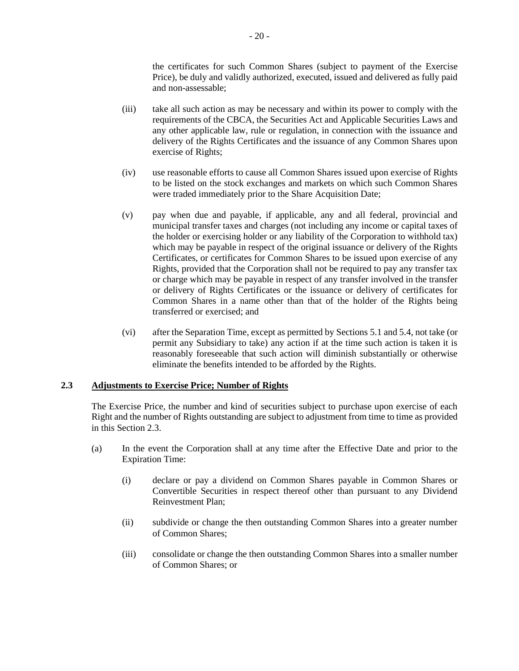the certificates for such Common Shares (subject to payment of the Exercise Price), be duly and validly authorized, executed, issued and delivered as fully paid and non-assessable;

- (iii) take all such action as may be necessary and within its power to comply with the requirements of the CBCA, the Securities Act and Applicable Securities Laws and any other applicable law, rule or regulation, in connection with the issuance and delivery of the Rights Certificates and the issuance of any Common Shares upon exercise of Rights;
- (iv) use reasonable efforts to cause all Common Shares issued upon exercise of Rights to be listed on the stock exchanges and markets on which such Common Shares were traded immediately prior to the Share Acquisition Date;
- (v) pay when due and payable, if applicable, any and all federal, provincial and municipal transfer taxes and charges (not including any income or capital taxes of the holder or exercising holder or any liability of the Corporation to withhold tax) which may be payable in respect of the original issuance or delivery of the Rights Certificates, or certificates for Common Shares to be issued upon exercise of any Rights, provided that the Corporation shall not be required to pay any transfer tax or charge which may be payable in respect of any transfer involved in the transfer or delivery of Rights Certificates or the issuance or delivery of certificates for Common Shares in a name other than that of the holder of the Rights being transferred or exercised; and
- (vi) after the Separation Time, except as permitted by Section[s 5.1](#page-36-4) and [5.4,](#page-38-0) not take (or permit any Subsidiary to take) any action if at the time such action is taken it is reasonably foreseeable that such action will diminish substantially or otherwise eliminate the benefits intended to be afforded by the Rights.

## <span id="page-22-1"></span>**2.3 Adjustments to Exercise Price; Number of Rights**

The Exercise Price, the number and kind of securities subject to purchase upon exercise of each Right and the number of Rights outstanding are subject to adjustment from time to time as provided in this Sectio[n 2.3.](#page-22-1)

- <span id="page-22-2"></span><span id="page-22-0"></span>(a) In the event the Corporation shall at any time after the Effective Date and prior to the Expiration Time:
	- (i) declare or pay a dividend on Common Shares payable in Common Shares or Convertible Securities in respect thereof other than pursuant to any Dividend Reinvestment Plan;
	- (ii) subdivide or change the then outstanding Common Shares into a greater number of Common Shares;
	- (iii) consolidate or change the then outstanding Common Shares into a smaller number of Common Shares; or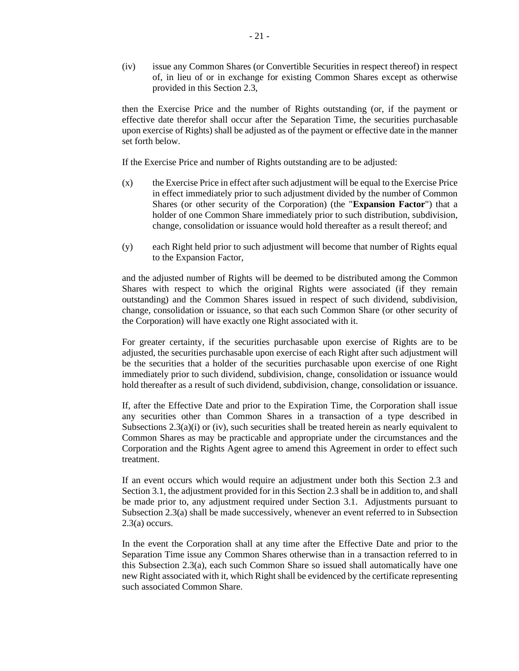<span id="page-23-0"></span>(iv) issue any Common Shares (or Convertible Securities in respect thereof) in respect of, in lieu of or in exchange for existing Common Shares except as otherwise provided in this Section [2.3,](#page-22-1)

then the Exercise Price and the number of Rights outstanding (or, if the payment or effective date therefor shall occur after the Separation Time, the securities purchasable upon exercise of Rights) shall be adjusted as of the payment or effective date in the manner set forth below.

If the Exercise Price and number of Rights outstanding are to be adjusted:

- (x) the Exercise Price in effect after such adjustment will be equal to the Exercise Price in effect immediately prior to such adjustment divided by the number of Common Shares (or other security of the Corporation) (the "**Expansion Factor**") that a holder of one Common Share immediately prior to such distribution, subdivision, change, consolidation or issuance would hold thereafter as a result thereof; and
- (y) each Right held prior to such adjustment will become that number of Rights equal to the Expansion Factor,

and the adjusted number of Rights will be deemed to be distributed among the Common Shares with respect to which the original Rights were associated (if they remain outstanding) and the Common Shares issued in respect of such dividend, subdivision, change, consolidation or issuance, so that each such Common Share (or other security of the Corporation) will have exactly one Right associated with it.

For greater certainty, if the securities purchasable upon exercise of Rights are to be adjusted, the securities purchasable upon exercise of each Right after such adjustment will be the securities that a holder of the securities purchasable upon exercise of one Right immediately prior to such dividend, subdivision, change, consolidation or issuance would hold thereafter as a result of such dividend, subdivision, change, consolidation or issuance.

If, after the Effective Date and prior to the Expiration Time, the Corporation shall issue any securities other than Common Shares in a transaction of a type described in Subsections  $2.3(a)(i)$  or [\(iv\),](#page-23-0) such securities shall be treated herein as nearly equivalent to Common Shares as may be practicable and appropriate under the circumstances and the Corporation and the Rights Agent agree to amend this Agreement in order to effect such treatment.

If an event occurs which would require an adjustment under both this Section [2.3](#page-22-1) and Sectio[n 3.1,](#page-30-0) the adjustment provided for in this Section [2.3](#page-22-1) shall be in addition to, and shall be made prior to, any adjustment required under Section [3.1.](#page-30-0) Adjustments pursuant to Subsection [2.3\(a\)](#page-22-0) shall be made successively, whenever an event referred to in Subsection [2.3\(a\)](#page-22-0) occurs.

In the event the Corporation shall at any time after the Effective Date and prior to the Separation Time issue any Common Shares otherwise than in a transaction referred to in this Subsection [2.3\(a\),](#page-22-0) each such Common Share so issued shall automatically have one new Right associated with it, which Right shall be evidenced by the certificate representing such associated Common Share.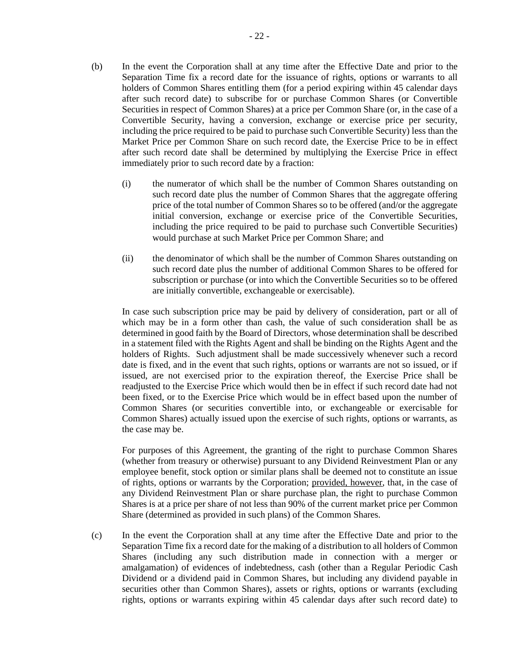- <span id="page-24-0"></span>(b) In the event the Corporation shall at any time after the Effective Date and prior to the Separation Time fix a record date for the issuance of rights, options or warrants to all holders of Common Shares entitling them (for a period expiring within 45 calendar days after such record date) to subscribe for or purchase Common Shares (or Convertible Securities in respect of Common Shares) at a price per Common Share (or, in the case of a Convertible Security, having a conversion, exchange or exercise price per security, including the price required to be paid to purchase such Convertible Security) less than the Market Price per Common Share on such record date, the Exercise Price to be in effect after such record date shall be determined by multiplying the Exercise Price in effect immediately prior to such record date by a fraction:
	- (i) the numerator of which shall be the number of Common Shares outstanding on such record date plus the number of Common Shares that the aggregate offering price of the total number of Common Shares so to be offered (and/or the aggregate initial conversion, exchange or exercise price of the Convertible Securities, including the price required to be paid to purchase such Convertible Securities) would purchase at such Market Price per Common Share; and
	- (ii) the denominator of which shall be the number of Common Shares outstanding on such record date plus the number of additional Common Shares to be offered for subscription or purchase (or into which the Convertible Securities so to be offered are initially convertible, exchangeable or exercisable).

In case such subscription price may be paid by delivery of consideration, part or all of which may be in a form other than cash, the value of such consideration shall be as determined in good faith by the Board of Directors, whose determination shall be described in a statement filed with the Rights Agent and shall be binding on the Rights Agent and the holders of Rights. Such adjustment shall be made successively whenever such a record date is fixed, and in the event that such rights, options or warrants are not so issued, or if issued, are not exercised prior to the expiration thereof, the Exercise Price shall be readjusted to the Exercise Price which would then be in effect if such record date had not been fixed, or to the Exercise Price which would be in effect based upon the number of Common Shares (or securities convertible into, or exchangeable or exercisable for Common Shares) actually issued upon the exercise of such rights, options or warrants, as the case may be.

For purposes of this Agreement, the granting of the right to purchase Common Shares (whether from treasury or otherwise) pursuant to any Dividend Reinvestment Plan or any employee benefit, stock option or similar plans shall be deemed not to constitute an issue of rights, options or warrants by the Corporation; provided, however, that, in the case of any Dividend Reinvestment Plan or share purchase plan, the right to purchase Common Shares is at a price per share of not less than 90% of the current market price per Common Share (determined as provided in such plans) of the Common Shares.

<span id="page-24-1"></span>(c) In the event the Corporation shall at any time after the Effective Date and prior to the Separation Time fix a record date for the making of a distribution to all holders of Common Shares (including any such distribution made in connection with a merger or amalgamation) of evidences of indebtedness, cash (other than a Regular Periodic Cash Dividend or a dividend paid in Common Shares, but including any dividend payable in securities other than Common Shares), assets or rights, options or warrants (excluding rights, options or warrants expiring within 45 calendar days after such record date) to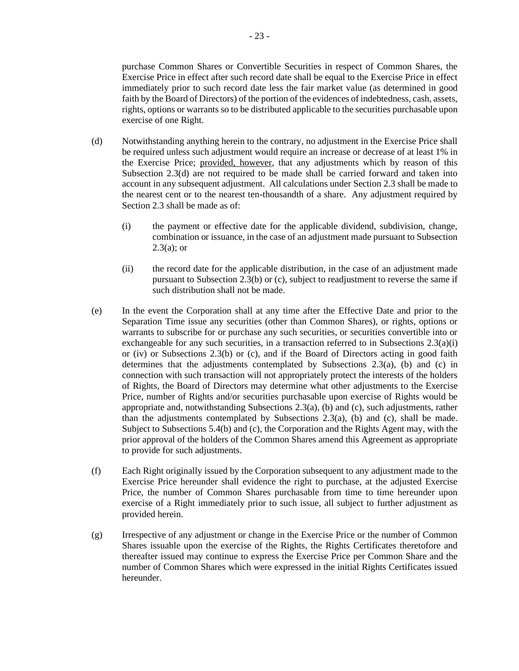purchase Common Shares or Convertible Securities in respect of Common Shares, the Exercise Price in effect after such record date shall be equal to the Exercise Price in effect immediately prior to such record date less the fair market value (as determined in good faith by the Board of Directors) of the portion of the evidences of indebtedness, cash, assets, rights, options or warrants so to be distributed applicable to the securities purchasable upon exercise of one Right.

- <span id="page-25-0"></span>(d) Notwithstanding anything herein to the contrary, no adjustment in the Exercise Price shall be required unless such adjustment would require an increase or decrease of at least 1% in the Exercise Price; provided, however, that any adjustments which by reason of this Subsection [2.3\(d\)](#page-25-0) are not required to be made shall be carried forward and taken into account in any subsequent adjustment. All calculations under Section [2.3](#page-22-1) shall be made to the nearest cent or to the nearest ten-thousandth of a share. Any adjustment required by Sectio[n 2.3](#page-22-1) shall be made as of:
	- (i) the payment or effective date for the applicable dividend, subdivision, change, combination or issuance, in the case of an adjustment made pursuant to Subsection  $2.3(a)$ ; or
	- (ii) the record date for the applicable distribution, in the case of an adjustment made pursuant to Subsection [2.3\(b\)](#page-24-0) or [\(c\),](#page-24-1) subject to readjustment to reverse the same if such distribution shall not be made.
- (e) In the event the Corporation shall at any time after the Effective Date and prior to the Separation Time issue any securities (other than Common Shares), or rights, options or warrants to subscribe for or purchase any such securities, or securities convertible into or exchangeable for any such securities, in a transaction referred to in Subsections  $2.3(a)(i)$ or [\(iv\)](#page-23-0) or Subsections [2.3\(b\)](#page-24-0) or [\(c\),](#page-24-1) and if the Board of Directors acting in good faith determines that the adjustments contemplated by Subsections  $2.3(a)$ , [\(b\)](#page-24-0) and [\(c\)](#page-24-1) in connection with such transaction will not appropriately protect the interests of the holders of Rights, the Board of Directors may determine what other adjustments to the Exercise Price, number of Rights and/or securities purchasable upon exercise of Rights would be appropriate and, notwithstanding Subsections  $2.3(a)$ , [\(b\)](#page-24-0) and [\(c\),](#page-24-1) such adjustments, rather than the adjustments contemplated by Subsections  $2.3(a)$ , [\(b\)](#page-24-0) and [\(c\),](#page-24-1) shall be made. Subject to Subsections [5.4\(b\)](#page-39-0) and [\(c\),](#page-39-1) the Corporation and the Rights Agent may, with the prior approval of the holders of the Common Shares amend this Agreement as appropriate to provide for such adjustments.
- (f) Each Right originally issued by the Corporation subsequent to any adjustment made to the Exercise Price hereunder shall evidence the right to purchase, at the adjusted Exercise Price, the number of Common Shares purchasable from time to time hereunder upon exercise of a Right immediately prior to such issue, all subject to further adjustment as provided herein.
- (g) Irrespective of any adjustment or change in the Exercise Price or the number of Common Shares issuable upon the exercise of the Rights, the Rights Certificates theretofore and thereafter issued may continue to express the Exercise Price per Common Share and the number of Common Shares which were expressed in the initial Rights Certificates issued hereunder.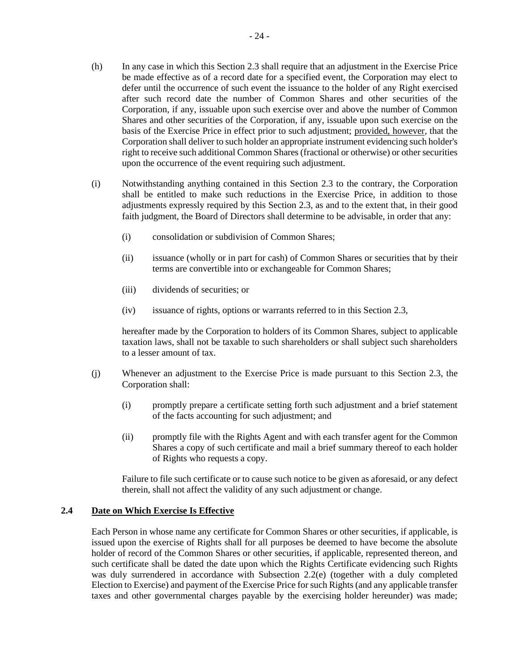- (h) In any case in which this Sectio[n 2.3](#page-22-1) shall require that an adjustment in the Exercise Price be made effective as of a record date for a specified event, the Corporation may elect to defer until the occurrence of such event the issuance to the holder of any Right exercised after such record date the number of Common Shares and other securities of the Corporation, if any, issuable upon such exercise over and above the number of Common Shares and other securities of the Corporation, if any, issuable upon such exercise on the basis of the Exercise Price in effect prior to such adjustment; provided, however, that the Corporation shall deliver to such holder an appropriate instrument evidencing such holder's right to receive such additional Common Shares (fractional or otherwise) or other securities upon the occurrence of the event requiring such adjustment.
- (i) Notwithstanding anything contained in this Section [2.3](#page-22-1) to the contrary, the Corporation shall be entitled to make such reductions in the Exercise Price, in addition to those adjustments expressly required by this Section [2.3,](#page-22-1) as and to the extent that, in their good faith judgment, the Board of Directors shall determine to be advisable, in order that any:
	- (i) consolidation or subdivision of Common Shares;
	- (ii) issuance (wholly or in part for cash) of Common Shares or securities that by their terms are convertible into or exchangeable for Common Shares;
	- (iii) dividends of securities; or
	- (iv) issuance of rights, options or warrants referred to in this Section [2.3,](#page-22-1)

hereafter made by the Corporation to holders of its Common Shares, subject to applicable taxation laws, shall not be taxable to such shareholders or shall subject such shareholders to a lesser amount of tax.

- <span id="page-26-0"></span>(j) Whenever an adjustment to the Exercise Price is made pursuant to this Section [2.3,](#page-22-1) the Corporation shall:
	- (i) promptly prepare a certificate setting forth such adjustment and a brief statement of the facts accounting for such adjustment; and
	- (ii) promptly file with the Rights Agent and with each transfer agent for the Common Shares a copy of such certificate and mail a brief summary thereof to each holder of Rights who requests a copy.

Failure to file such certificate or to cause such notice to be given as aforesaid, or any defect therein, shall not affect the validity of any such adjustment or change.

## **2.4 Date on Which Exercise Is Effective**

Each Person in whose name any certificate for Common Shares or other securities, if applicable, is issued upon the exercise of Rights shall for all purposes be deemed to have become the absolute holder of record of the Common Shares or other securities, if applicable, represented thereon, and such certificate shall be dated the date upon which the Rights Certificate evidencing such Rights was duly surrendered in accordance with Subsection [2.2\(e\)](#page-20-4) (together with a duly completed Election to Exercise) and payment of the Exercise Price for such Rights (and any applicable transfer taxes and other governmental charges payable by the exercising holder hereunder) was made;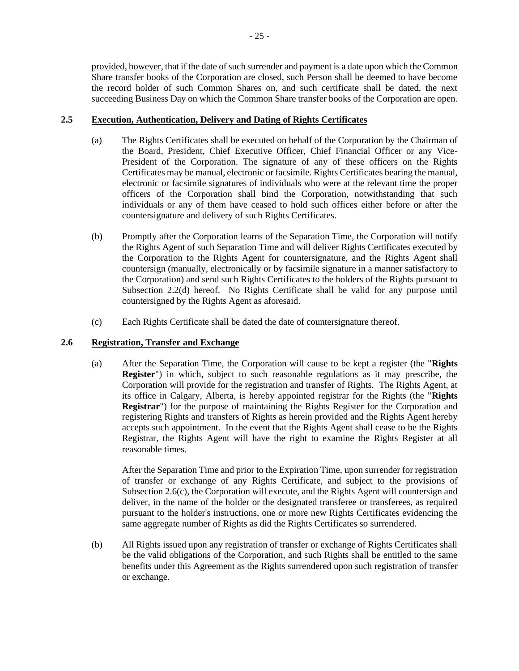provided, however, that if the date of such surrender and payment is a date upon which the Common Share transfer books of the Corporation are closed, such Person shall be deemed to have become the record holder of such Common Shares on, and such certificate shall be dated, the next succeeding Business Day on which the Common Share transfer books of the Corporation are open.

# **2.5 Execution, Authentication, Delivery and Dating of Rights Certificates**

- (a) The Rights Certificates shall be executed on behalf of the Corporation by the Chairman of the Board, President, Chief Executive Officer, Chief Financial Officer or any Vice-President of the Corporation. The signature of any of these officers on the Rights Certificates may be manual, electronic or facsimile. Rights Certificates bearing the manual, electronic or facsimile signatures of individuals who were at the relevant time the proper officers of the Corporation shall bind the Corporation, notwithstanding that such individuals or any of them have ceased to hold such offices either before or after the countersignature and delivery of such Rights Certificates.
- (b) Promptly after the Corporation learns of the Separation Time, the Corporation will notify the Rights Agent of such Separation Time and will deliver Rights Certificates executed by the Corporation to the Rights Agent for countersignature, and the Rights Agent shall countersign (manually, electronically or by facsimile signature in a manner satisfactory to the Corporation) and send such Rights Certificates to the holders of the Rights pursuant to Subsection [2.2\(d\)](#page-20-1) hereof. No Rights Certificate shall be valid for any purpose until countersigned by the Rights Agent as aforesaid.
- (c) Each Rights Certificate shall be dated the date of countersignature thereof.

# <span id="page-27-1"></span><span id="page-27-0"></span>**2.6 Registration, Transfer and Exchange**

(a) After the Separation Time, the Corporation will cause to be kept a register (the "**Rights Register**") in which, subject to such reasonable regulations as it may prescribe, the Corporation will provide for the registration and transfer of Rights. The Rights Agent, at its office in Calgary, Alberta, is hereby appointed registrar for the Rights (the "**Rights Registrar**") for the purpose of maintaining the Rights Register for the Corporation and registering Rights and transfers of Rights as herein provided and the Rights Agent hereby accepts such appointment. In the event that the Rights Agent shall cease to be the Rights Registrar, the Rights Agent will have the right to examine the Rights Register at all reasonable times.

After the Separation Time and prior to the Expiration Time, upon surrender for registration of transfer or exchange of any Rights Certificate, and subject to the provisions of Subsectio[n 2.6\(c\),](#page-28-0) the Corporation will execute, and the Rights Agent will countersign and deliver, in the name of the holder or the designated transferee or transferees, as required pursuant to the holder's instructions, one or more new Rights Certificates evidencing the same aggregate number of Rights as did the Rights Certificates so surrendered.

(b) All Rights issued upon any registration of transfer or exchange of Rights Certificates shall be the valid obligations of the Corporation, and such Rights shall be entitled to the same benefits under this Agreement as the Rights surrendered upon such registration of transfer or exchange.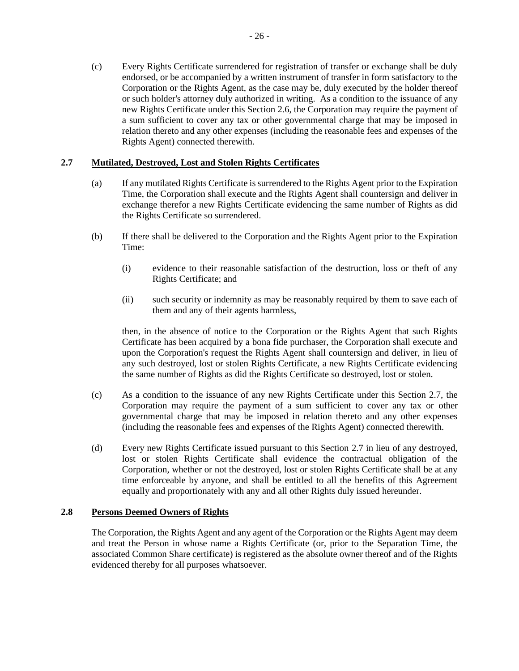<span id="page-28-0"></span>(c) Every Rights Certificate surrendered for registration of transfer or exchange shall be duly endorsed, or be accompanied by a written instrument of transfer in form satisfactory to the Corporation or the Rights Agent, as the case may be, duly executed by the holder thereof or such holder's attorney duly authorized in writing. As a condition to the issuance of any new Rights Certificate under this Section [2.6,](#page-27-1) the Corporation may require the payment of a sum sufficient to cover any tax or other governmental charge that may be imposed in relation thereto and any other expenses (including the reasonable fees and expenses of the Rights Agent) connected therewith.

## <span id="page-28-1"></span>**2.7 Mutilated, Destroyed, Lost and Stolen Rights Certificates**

- (a) If any mutilated Rights Certificate is surrendered to the Rights Agent prior to the Expiration Time, the Corporation shall execute and the Rights Agent shall countersign and deliver in exchange therefor a new Rights Certificate evidencing the same number of Rights as did the Rights Certificate so surrendered.
- (b) If there shall be delivered to the Corporation and the Rights Agent prior to the Expiration Time:
	- (i) evidence to their reasonable satisfaction of the destruction, loss or theft of any Rights Certificate; and
	- (ii) such security or indemnity as may be reasonably required by them to save each of them and any of their agents harmless,

then, in the absence of notice to the Corporation or the Rights Agent that such Rights Certificate has been acquired by a bona fide purchaser, the Corporation shall execute and upon the Corporation's request the Rights Agent shall countersign and deliver, in lieu of any such destroyed, lost or stolen Rights Certificate, a new Rights Certificate evidencing the same number of Rights as did the Rights Certificate so destroyed, lost or stolen.

- (c) As a condition to the issuance of any new Rights Certificate under this Section [2.7,](#page-28-1) the Corporation may require the payment of a sum sufficient to cover any tax or other governmental charge that may be imposed in relation thereto and any other expenses (including the reasonable fees and expenses of the Rights Agent) connected therewith.
- (d) Every new Rights Certificate issued pursuant to this Section [2.7](#page-28-1) in lieu of any destroyed, lost or stolen Rights Certificate shall evidence the contractual obligation of the Corporation, whether or not the destroyed, lost or stolen Rights Certificate shall be at any time enforceable by anyone, and shall be entitled to all the benefits of this Agreement equally and proportionately with any and all other Rights duly issued hereunder.

## **2.8 Persons Deemed Owners of Rights**

The Corporation, the Rights Agent and any agent of the Corporation or the Rights Agent may deem and treat the Person in whose name a Rights Certificate (or, prior to the Separation Time, the associated Common Share certificate) is registered as the absolute owner thereof and of the Rights evidenced thereby for all purposes whatsoever.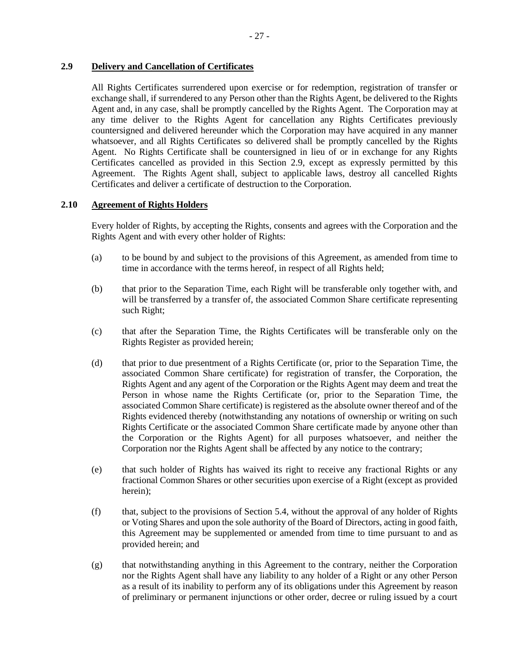# <span id="page-29-0"></span>**2.9 Delivery and Cancellation of Certificates**

All Rights Certificates surrendered upon exercise or for redemption, registration of transfer or exchange shall, if surrendered to any Person other than the Rights Agent, be delivered to the Rights Agent and, in any case, shall be promptly cancelled by the Rights Agent. The Corporation may at any time deliver to the Rights Agent for cancellation any Rights Certificates previously countersigned and delivered hereunder which the Corporation may have acquired in any manner whatsoever, and all Rights Certificates so delivered shall be promptly cancelled by the Rights Agent. No Rights Certificate shall be countersigned in lieu of or in exchange for any Rights Certificates cancelled as provided in this Section [2.9,](#page-29-0) except as expressly permitted by this Agreement. The Rights Agent shall, subject to applicable laws, destroy all cancelled Rights Certificates and deliver a certificate of destruction to the Corporation.

## **2.10 Agreement of Rights Holders**

Every holder of Rights, by accepting the Rights, consents and agrees with the Corporation and the Rights Agent and with every other holder of Rights:

- (a) to be bound by and subject to the provisions of this Agreement, as amended from time to time in accordance with the terms hereof, in respect of all Rights held;
- (b) that prior to the Separation Time, each Right will be transferable only together with, and will be transferred by a transfer of, the associated Common Share certificate representing such Right;
- (c) that after the Separation Time, the Rights Certificates will be transferable only on the Rights Register as provided herein;
- (d) that prior to due presentment of a Rights Certificate (or, prior to the Separation Time, the associated Common Share certificate) for registration of transfer, the Corporation, the Rights Agent and any agent of the Corporation or the Rights Agent may deem and treat the Person in whose name the Rights Certificate (or, prior to the Separation Time, the associated Common Share certificate) is registered as the absolute owner thereof and of the Rights evidenced thereby (notwithstanding any notations of ownership or writing on such Rights Certificate or the associated Common Share certificate made by anyone other than the Corporation or the Rights Agent) for all purposes whatsoever, and neither the Corporation nor the Rights Agent shall be affected by any notice to the contrary;
- (e) that such holder of Rights has waived its right to receive any fractional Rights or any fractional Common Shares or other securities upon exercise of a Right (except as provided herein);
- (f) that, subject to the provisions of Section [5.4,](#page-38-0) without the approval of any holder of Rights or Voting Shares and upon the sole authority of the Board of Directors, acting in good faith, this Agreement may be supplemented or amended from time to time pursuant to and as provided herein; and
- (g) that notwithstanding anything in this Agreement to the contrary, neither the Corporation nor the Rights Agent shall have any liability to any holder of a Right or any other Person as a result of its inability to perform any of its obligations under this Agreement by reason of preliminary or permanent injunctions or other order, decree or ruling issued by a court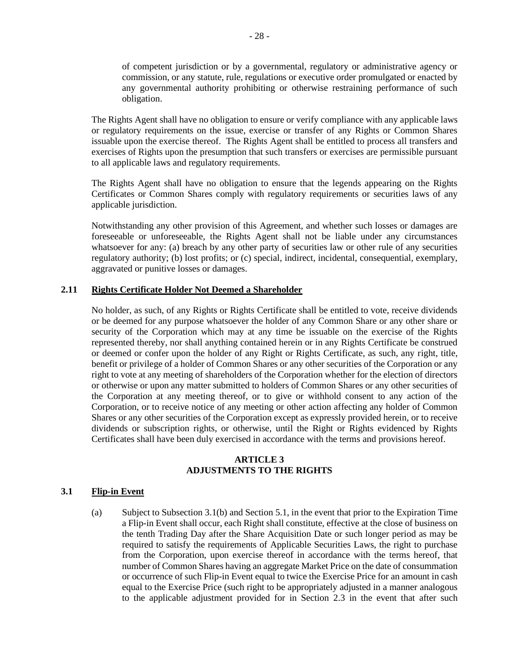of competent jurisdiction or by a governmental, regulatory or administrative agency or commission, or any statute, rule, regulations or executive order promulgated or enacted by any governmental authority prohibiting or otherwise restraining performance of such obligation.

The Rights Agent shall have no obligation to ensure or verify compliance with any applicable laws or regulatory requirements on the issue, exercise or transfer of any Rights or Common Shares issuable upon the exercise thereof. The Rights Agent shall be entitled to process all transfers and exercises of Rights upon the presumption that such transfers or exercises are permissible pursuant to all applicable laws and regulatory requirements.

The Rights Agent shall have no obligation to ensure that the legends appearing on the Rights Certificates or Common Shares comply with regulatory requirements or securities laws of any applicable jurisdiction.

Notwithstanding any other provision of this Agreement, and whether such losses or damages are foreseeable or unforeseeable, the Rights Agent shall not be liable under any circumstances whatsoever for any: (a) breach by any other party of securities law or other rule of any securities regulatory authority; (b) lost profits; or (c) special, indirect, incidental, consequential, exemplary, aggravated or punitive losses or damages.

#### **2.11 Rights Certificate Holder Not Deemed a Shareholder**

No holder, as such, of any Rights or Rights Certificate shall be entitled to vote, receive dividends or be deemed for any purpose whatsoever the holder of any Common Share or any other share or security of the Corporation which may at any time be issuable on the exercise of the Rights represented thereby, nor shall anything contained herein or in any Rights Certificate be construed or deemed or confer upon the holder of any Right or Rights Certificate, as such, any right, title, benefit or privilege of a holder of Common Shares or any other securities of the Corporation or any right to vote at any meeting of shareholders of the Corporation whether for the election of directors or otherwise or upon any matter submitted to holders of Common Shares or any other securities of the Corporation at any meeting thereof, or to give or withhold consent to any action of the Corporation, or to receive notice of any meeting or other action affecting any holder of Common Shares or any other securities of the Corporation except as expressly provided herein, or to receive dividends or subscription rights, or otherwise, until the Right or Rights evidenced by Rights Certificates shall have been duly exercised in accordance with the terms and provisions hereof.

### **ARTICLE 3 ADJUSTMENTS TO THE RIGHTS**

# <span id="page-30-0"></span>**3.1 Flip-in Event**

(a) Subject to Subsectio[n 3.1\(b\)](#page-31-0) and Section [5.1,](#page-36-4) in the event that prior to the Expiration Time a Flip-in Event shall occur, each Right shall constitute, effective at the close of business on the tenth Trading Day after the Share Acquisition Date or such longer period as may be required to satisfy the requirements of Applicable Securities Laws, the right to purchase from the Corporation, upon exercise thereof in accordance with the terms hereof, that number of Common Shares having an aggregate Market Price on the date of consummation or occurrence of such Flip-in Event equal to twice the Exercise Price for an amount in cash equal to the Exercise Price (such right to be appropriately adjusted in a manner analogous to the applicable adjustment provided for in Section [2.3](#page-22-1) in the event that after such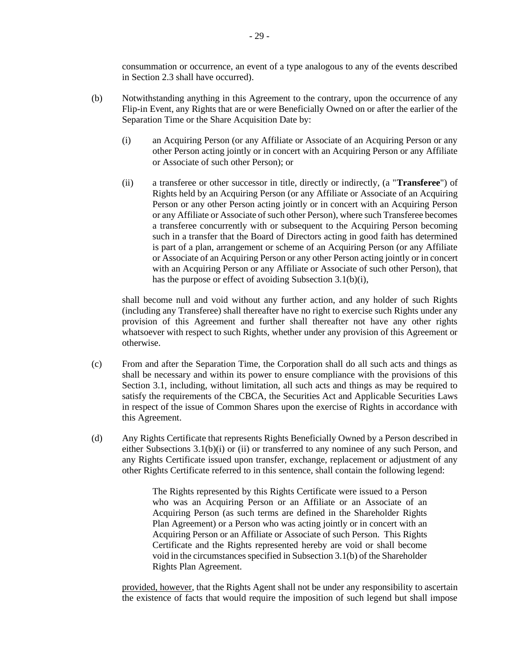consummation or occurrence, an event of a type analogous to any of the events described in Section [2.3](#page-22-1) shall have occurred).

- <span id="page-31-2"></span><span id="page-31-1"></span><span id="page-31-0"></span>(b) Notwithstanding anything in this Agreement to the contrary, upon the occurrence of any Flip-in Event, any Rights that are or were Beneficially Owned on or after the earlier of the Separation Time or the Share Acquisition Date by:
	- (i) an Acquiring Person (or any Affiliate or Associate of an Acquiring Person or any other Person acting jointly or in concert with an Acquiring Person or any Affiliate or Associate of such other Person); or
	- (ii) a transferee or other successor in title, directly or indirectly, (a "**Transferee**") of Rights held by an Acquiring Person (or any Affiliate or Associate of an Acquiring Person or any other Person acting jointly or in concert with an Acquiring Person or any Affiliate or Associate of such other Person), where such Transferee becomes a transferee concurrently with or subsequent to the Acquiring Person becoming such in a transfer that the Board of Directors acting in good faith has determined is part of a plan, arrangement or scheme of an Acquiring Person (or any Affiliate or Associate of an Acquiring Person or any other Person acting jointly or in concert with an Acquiring Person or any Affiliate or Associate of such other Person), that has the purpose or effect of avoiding Subsection [3.1\(b\)\(i\),](#page-31-1)

shall become null and void without any further action, and any holder of such Rights (including any Transferee) shall thereafter have no right to exercise such Rights under any provision of this Agreement and further shall thereafter not have any other rights whatsoever with respect to such Rights, whether under any provision of this Agreement or otherwise.

- (c) From and after the Separation Time, the Corporation shall do all such acts and things as shall be necessary and within its power to ensure compliance with the provisions of this Section [3.1,](#page-30-0) including, without limitation, all such acts and things as may be required to satisfy the requirements of the CBCA, the Securities Act and Applicable Securities Laws in respect of the issue of Common Shares upon the exercise of Rights in accordance with this Agreement.
- (d) Any Rights Certificate that represents Rights Beneficially Owned by a Person described in either Subsections [3.1\(b\)\(i\)](#page-31-1) or [\(ii\)](#page-31-2) or transferred to any nominee of any such Person, and any Rights Certificate issued upon transfer, exchange, replacement or adjustment of any other Rights Certificate referred to in this sentence, shall contain the following legend:

The Rights represented by this Rights Certificate were issued to a Person who was an Acquiring Person or an Affiliate or an Associate of an Acquiring Person (as such terms are defined in the Shareholder Rights Plan Agreement) or a Person who was acting jointly or in concert with an Acquiring Person or an Affiliate or Associate of such Person. This Rights Certificate and the Rights represented hereby are void or shall become void in the circumstances specified in Subsection 3.1(b) of the Shareholder Rights Plan Agreement.

provided, however, that the Rights Agent shall not be under any responsibility to ascertain the existence of facts that would require the imposition of such legend but shall impose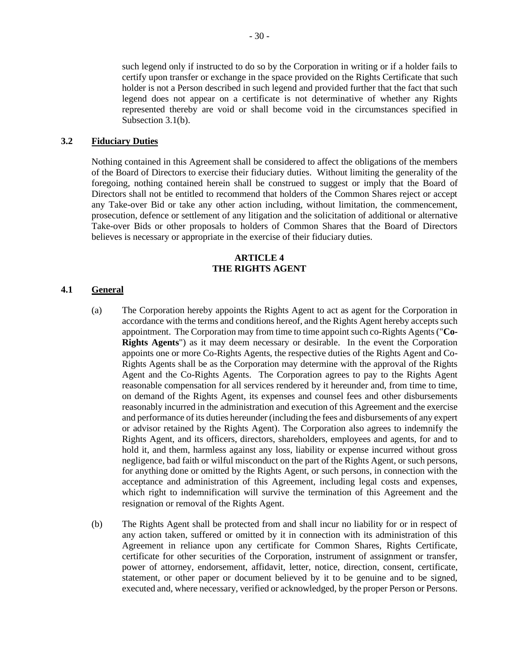such legend only if instructed to do so by the Corporation in writing or if a holder fails to certify upon transfer or exchange in the space provided on the Rights Certificate that such holder is not a Person described in such legend and provided further that the fact that such legend does not appear on a certificate is not determinative of whether any Rights represented thereby are void or shall become void in the circumstances specified in Subsection [3.1\(b\).](#page-31-0)

### **3.2 Fiduciary Duties**

Nothing contained in this Agreement shall be considered to affect the obligations of the members of the Board of Directors to exercise their fiduciary duties. Without limiting the generality of the foregoing, nothing contained herein shall be construed to suggest or imply that the Board of Directors shall not be entitled to recommend that holders of the Common Shares reject or accept any Take-over Bid or take any other action including, without limitation, the commencement, prosecution, defence or settlement of any litigation and the solicitation of additional or alternative Take-over Bids or other proposals to holders of Common Shares that the Board of Directors believes is necessary or appropriate in the exercise of their fiduciary duties.

#### **ARTICLE 4 THE RIGHTS AGENT**

#### <span id="page-32-2"></span><span id="page-32-1"></span><span id="page-32-0"></span>**4.1 General**

- (a) The Corporation hereby appoints the Rights Agent to act as agent for the Corporation in accordance with the terms and conditions hereof, and the Rights Agent hereby accepts such appointment. The Corporation may from time to time appoint such co-Rights Agents ("**Co-Rights Agents**") as it may deem necessary or desirable. In the event the Corporation appoints one or more Co-Rights Agents, the respective duties of the Rights Agent and Co-Rights Agents shall be as the Corporation may determine with the approval of the Rights Agent and the Co-Rights Agents. The Corporation agrees to pay to the Rights Agent reasonable compensation for all services rendered by it hereunder and, from time to time, on demand of the Rights Agent, its expenses and counsel fees and other disbursements reasonably incurred in the administration and execution of this Agreement and the exercise and performance of its duties hereunder (including the fees and disbursements of any expert or advisor retained by the Rights Agent). The Corporation also agrees to indemnify the Rights Agent, and its officers, directors, shareholders, employees and agents, for and to hold it, and them, harmless against any loss, liability or expense incurred without gross negligence, bad faith or wilful misconduct on the part of the Rights Agent, or such persons, for anything done or omitted by the Rights Agent, or such persons, in connection with the acceptance and administration of this Agreement, including legal costs and expenses, which right to indemnification will survive the termination of this Agreement and the resignation or removal of the Rights Agent.
- (b) The Rights Agent shall be protected from and shall incur no liability for or in respect of any action taken, suffered or omitted by it in connection with its administration of this Agreement in reliance upon any certificate for Common Shares, Rights Certificate, certificate for other securities of the Corporation, instrument of assignment or transfer, power of attorney, endorsement, affidavit, letter, notice, direction, consent, certificate, statement, or other paper or document believed by it to be genuine and to be signed, executed and, where necessary, verified or acknowledged, by the proper Person or Persons.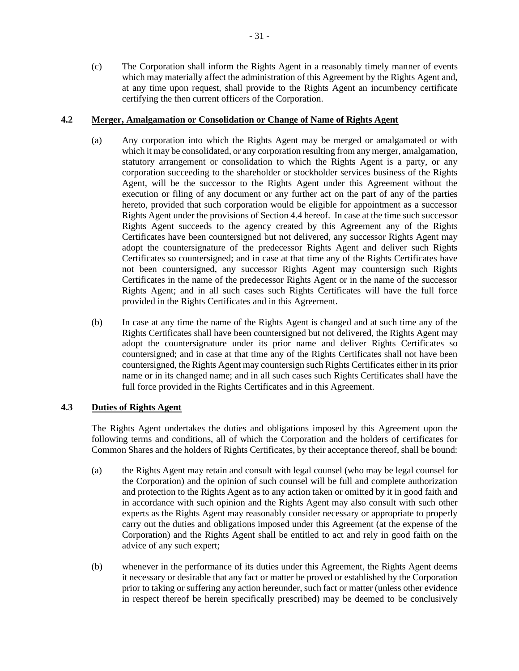(c) The Corporation shall inform the Rights Agent in a reasonably timely manner of events which may materially affect the administration of this Agreement by the Rights Agent and, at any time upon request, shall provide to the Rights Agent an incumbency certificate certifying the then current officers of the Corporation.

### **4.2 Merger, Amalgamation or Consolidation or Change of Name of Rights Agent**

- (a) Any corporation into which the Rights Agent may be merged or amalgamated or with which it may be consolidated, or any corporation resulting from any merger, amalgamation, statutory arrangement or consolidation to which the Rights Agent is a party, or any corporation succeeding to the shareholder or stockholder services business of the Rights Agent, will be the successor to the Rights Agent under this Agreement without the execution or filing of any document or any further act on the part of any of the parties hereto, provided that such corporation would be eligible for appointment as a successor Rights Agent under the provisions of Sectio[n 4.4](#page-35-0) hereof. In case at the time such successor Rights Agent succeeds to the agency created by this Agreement any of the Rights Certificates have been countersigned but not delivered, any successor Rights Agent may adopt the countersignature of the predecessor Rights Agent and deliver such Rights Certificates so countersigned; and in case at that time any of the Rights Certificates have not been countersigned, any successor Rights Agent may countersign such Rights Certificates in the name of the predecessor Rights Agent or in the name of the successor Rights Agent; and in all such cases such Rights Certificates will have the full force provided in the Rights Certificates and in this Agreement.
- (b) In case at any time the name of the Rights Agent is changed and at such time any of the Rights Certificates shall have been countersigned but not delivered, the Rights Agent may adopt the countersignature under its prior name and deliver Rights Certificates so countersigned; and in case at that time any of the Rights Certificates shall not have been countersigned, the Rights Agent may countersign such Rights Certificates either in its prior name or in its changed name; and in all such cases such Rights Certificates shall have the full force provided in the Rights Certificates and in this Agreement.

## **4.3 Duties of Rights Agent**

The Rights Agent undertakes the duties and obligations imposed by this Agreement upon the following terms and conditions, all of which the Corporation and the holders of certificates for Common Shares and the holders of Rights Certificates, by their acceptance thereof, shall be bound:

- (a) the Rights Agent may retain and consult with legal counsel (who may be legal counsel for the Corporation) and the opinion of such counsel will be full and complete authorization and protection to the Rights Agent as to any action taken or omitted by it in good faith and in accordance with such opinion and the Rights Agent may also consult with such other experts as the Rights Agent may reasonably consider necessary or appropriate to properly carry out the duties and obligations imposed under this Agreement (at the expense of the Corporation) and the Rights Agent shall be entitled to act and rely in good faith on the advice of any such expert;
- (b) whenever in the performance of its duties under this Agreement, the Rights Agent deems it necessary or desirable that any fact or matter be proved or established by the Corporation prior to taking or suffering any action hereunder, such fact or matter (unless other evidence in respect thereof be herein specifically prescribed) may be deemed to be conclusively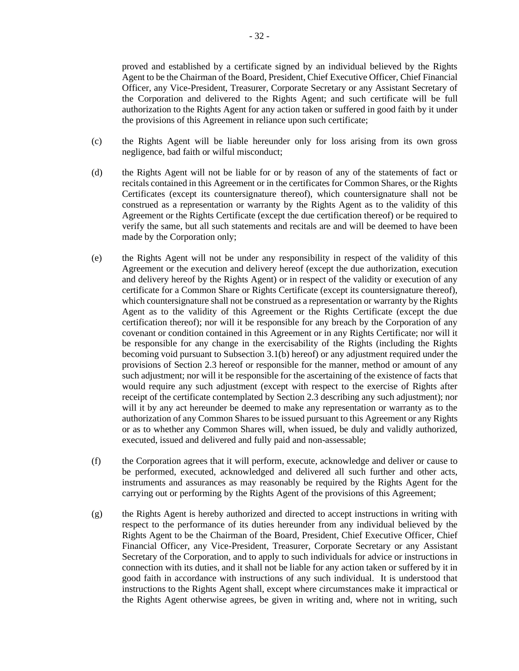proved and established by a certificate signed by an individual believed by the Rights Agent to be the Chairman of the Board, President, Chief Executive Officer, Chief Financial Officer, any Vice-President, Treasurer, Corporate Secretary or any Assistant Secretary of the Corporation and delivered to the Rights Agent; and such certificate will be full authorization to the Rights Agent for any action taken or suffered in good faith by it under the provisions of this Agreement in reliance upon such certificate;

- (c) the Rights Agent will be liable hereunder only for loss arising from its own gross negligence, bad faith or wilful misconduct;
- (d) the Rights Agent will not be liable for or by reason of any of the statements of fact or recitals contained in this Agreement or in the certificates for Common Shares, or the Rights Certificates (except its countersignature thereof), which countersignature shall not be construed as a representation or warranty by the Rights Agent as to the validity of this Agreement or the Rights Certificate (except the due certification thereof) or be required to verify the same, but all such statements and recitals are and will be deemed to have been made by the Corporation only;
- (e) the Rights Agent will not be under any responsibility in respect of the validity of this Agreement or the execution and delivery hereof (except the due authorization, execution and delivery hereof by the Rights Agent) or in respect of the validity or execution of any certificate for a Common Share or Rights Certificate (except its countersignature thereof), which countersignature shall not be construed as a representation or warranty by the Rights Agent as to the validity of this Agreement or the Rights Certificate (except the due certification thereof); nor will it be responsible for any breach by the Corporation of any covenant or condition contained in this Agreement or in any Rights Certificate; nor will it be responsible for any change in the exercisability of the Rights (including the Rights becoming void pursuant to Subsection [3.1\(b\)](#page-31-0) hereof) or any adjustment required under the provisions of Section [2.3](#page-22-1) hereof or responsible for the manner, method or amount of any such adjustment; nor will it be responsible for the ascertaining of the existence of facts that would require any such adjustment (except with respect to the exercise of Rights after receipt of the certificate contemplated by Section [2.3](#page-22-1) describing any such adjustment); nor will it by any act hereunder be deemed to make any representation or warranty as to the authorization of any Common Shares to be issued pursuant to this Agreement or any Rights or as to whether any Common Shares will, when issued, be duly and validly authorized, executed, issued and delivered and fully paid and non-assessable;
- (f) the Corporation agrees that it will perform, execute, acknowledge and deliver or cause to be performed, executed, acknowledged and delivered all such further and other acts, instruments and assurances as may reasonably be required by the Rights Agent for the carrying out or performing by the Rights Agent of the provisions of this Agreement;
- (g) the Rights Agent is hereby authorized and directed to accept instructions in writing with respect to the performance of its duties hereunder from any individual believed by the Rights Agent to be the Chairman of the Board, President, Chief Executive Officer, Chief Financial Officer, any Vice-President, Treasurer, Corporate Secretary or any Assistant Secretary of the Corporation, and to apply to such individuals for advice or instructions in connection with its duties, and it shall not be liable for any action taken or suffered by it in good faith in accordance with instructions of any such individual. It is understood that instructions to the Rights Agent shall, except where circumstances make it impractical or the Rights Agent otherwise agrees, be given in writing and, where not in writing, such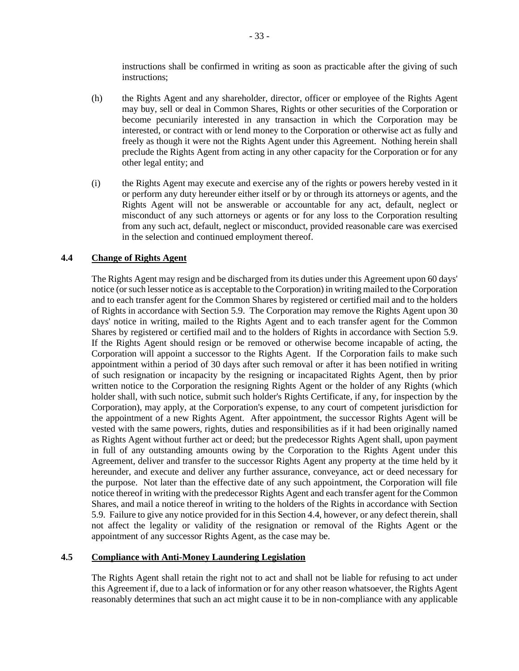instructions shall be confirmed in writing as soon as practicable after the giving of such instructions;

- (h) the Rights Agent and any shareholder, director, officer or employee of the Rights Agent may buy, sell or deal in Common Shares, Rights or other securities of the Corporation or become pecuniarily interested in any transaction in which the Corporation may be interested, or contract with or lend money to the Corporation or otherwise act as fully and freely as though it were not the Rights Agent under this Agreement. Nothing herein shall preclude the Rights Agent from acting in any other capacity for the Corporation or for any other legal entity; and
- (i) the Rights Agent may execute and exercise any of the rights or powers hereby vested in it or perform any duty hereunder either itself or by or through its attorneys or agents, and the Rights Agent will not be answerable or accountable for any act, default, neglect or misconduct of any such attorneys or agents or for any loss to the Corporation resulting from any such act, default, neglect or misconduct, provided reasonable care was exercised in the selection and continued employment thereof.

### <span id="page-35-0"></span>**4.4 Change of Rights Agent**

The Rights Agent may resign and be discharged from its duties under this Agreement upon 60 days' notice (or such lesser notice as is acceptable to the Corporation) in writing mailed to the Corporation and to each transfer agent for the Common Shares by registered or certified mail and to the holders of Rights in accordance with Section [5.9.](#page-41-0) The Corporation may remove the Rights Agent upon 30 days' notice in writing, mailed to the Rights Agent and to each transfer agent for the Common Shares by registered or certified mail and to the holders of Rights in accordance with Section [5.9.](#page-41-0) If the Rights Agent should resign or be removed or otherwise become incapable of acting, the Corporation will appoint a successor to the Rights Agent. If the Corporation fails to make such appointment within a period of 30 days after such removal or after it has been notified in writing of such resignation or incapacity by the resigning or incapacitated Rights Agent, then by prior written notice to the Corporation the resigning Rights Agent or the holder of any Rights (which holder shall, with such notice, submit such holder's Rights Certificate, if any, for inspection by the Corporation), may apply, at the Corporation's expense, to any court of competent jurisdiction for the appointment of a new Rights Agent. After appointment, the successor Rights Agent will be vested with the same powers, rights, duties and responsibilities as if it had been originally named as Rights Agent without further act or deed; but the predecessor Rights Agent shall, upon payment in full of any outstanding amounts owing by the Corporation to the Rights Agent under this Agreement, deliver and transfer to the successor Rights Agent any property at the time held by it hereunder, and execute and deliver any further assurance, conveyance, act or deed necessary for the purpose. Not later than the effective date of any such appointment, the Corporation will file notice thereof in writing with the predecessor Rights Agent and each transfer agent for the Common Shares, and mail a notice thereof in writing to the holders of the Rights in accordance with Section [5.9.](#page-41-0) Failure to give any notice provided for in this Section [4.4,](#page-35-0) however, or any defect therein, shall not affect the legality or validity of the resignation or removal of the Rights Agent or the appointment of any successor Rights Agent, as the case may be.

## **4.5 Compliance with Anti-Money Laundering Legislation**

The Rights Agent shall retain the right not to act and shall not be liable for refusing to act under this Agreement if, due to a lack of information or for any other reason whatsoever, the Rights Agent reasonably determines that such an act might cause it to be in non-compliance with any applicable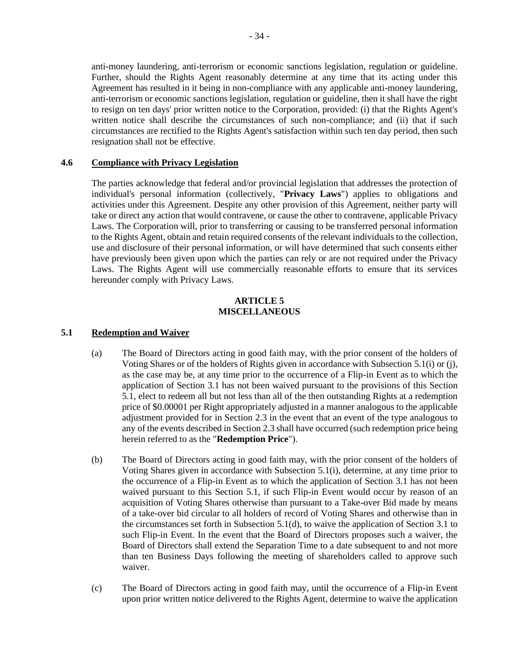anti-money laundering, anti-terrorism or economic sanctions legislation, regulation or guideline. Further, should the Rights Agent reasonably determine at any time that its acting under this Agreement has resulted in it being in non-compliance with any applicable anti-money laundering, anti-terrorism or economic sanctions legislation, regulation or guideline, then it shall have the right to resign on ten days' prior written notice to the Corporation, provided: (i) that the Rights Agent's written notice shall describe the circumstances of such non-compliance; and (ii) that if such circumstances are rectified to the Rights Agent's satisfaction within such ten day period, then such resignation shall not be effective.

#### <span id="page-36-2"></span>**4.6 Compliance with Privacy Legislation**

The parties acknowledge that federal and/or provincial legislation that addresses the protection of individual's personal information (collectively, "**Privacy Laws**") applies to obligations and activities under this Agreement. Despite any other provision of this Agreement, neither party will take or direct any action that would contravene, or cause the other to contravene, applicable Privacy Laws. The Corporation will, prior to transferring or causing to be transferred personal information to the Rights Agent, obtain and retain required consents of the relevant individuals to the collection, use and disclosure of their personal information, or will have determined that such consents either have previously been given upon which the parties can rely or are not required under the Privacy Laws. The Rights Agent will use commercially reasonable efforts to ensure that its services hereunder comply with Privacy Laws.

#### **ARTICLE 5 MISCELLANEOUS**

### <span id="page-36-4"></span><span id="page-36-3"></span>**5.1 Redemption and Waiver**

- (a) The Board of Directors acting in good faith may, with the prior consent of the holders of Voting Shares or of the holders of Rights given in accordance with Subsectio[n 5.1\(i\)](#page-38-1) or [\(j\),](#page-38-2) as the case may be, at any time prior to the occurrence of a Flip-in Event as to which the application of Section [3.1](#page-30-0) has not been waived pursuant to the provisions of this Section [5.1,](#page-36-4) elect to redeem all but not less than all of the then outstanding Rights at a redemption price of \$0.00001 per Right appropriately adjusted in a manner analogous to the applicable adjustment provided for in Section [2.3](#page-22-1) in the event that an event of the type analogous to any of the events described in Section [2.3](#page-22-1) shall have occurred (such redemption price being herein referred to as the "**Redemption Price**").
- <span id="page-36-0"></span>(b) The Board of Directors acting in good faith may, with the prior consent of the holders of Voting Shares given in accordance with Subsection [5.1\(i\),](#page-38-1) determine, at any time prior to the occurrence of a Flip-in Event as to which the application of Section [3.1](#page-30-0) has not been waived pursuant to this Section [5.1,](#page-36-4) if such Flip-in Event would occur by reason of an acquisition of Voting Shares otherwise than pursuant to a Take-over Bid made by means of a take-over bid circular to all holders of record of Voting Shares and otherwise than in the circumstances set forth in Subsection [5.1\(d\),](#page-37-0) to waive the application of Section [3.1](#page-30-0) to such Flip-in Event. In the event that the Board of Directors proposes such a waiver, the Board of Directors shall extend the Separation Time to a date subsequent to and not more than ten Business Days following the meeting of shareholders called to approve such waiver.
- <span id="page-36-1"></span>(c) The Board of Directors acting in good faith may, until the occurrence of a Flip-in Event upon prior written notice delivered to the Rights Agent, determine to waive the application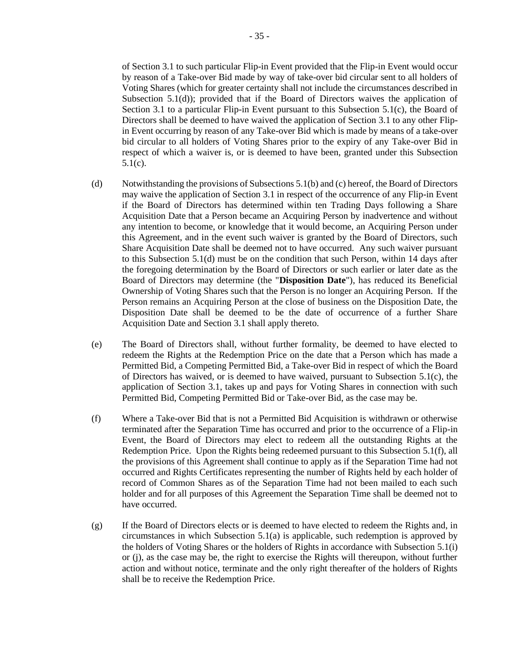of Section [3.1](#page-30-0) to such particular Flip-in Event provided that the Flip-in Event would occur by reason of a Take-over Bid made by way of take-over bid circular sent to all holders of Voting Shares (which for greater certainty shall not include the circumstances described in Subsection [5.1\(d\)\)](#page-37-0); provided that if the Board of Directors waives the application of Section [3.1](#page-30-0) to a particular Flip-in Event pursuant to this Subsection [5.1\(c\),](#page-36-1) the Board of Directors shall be deemed to have waived the application of Section [3.1](#page-30-0) to any other Flipin Event occurring by reason of any Take-over Bid which is made by means of a take-over bid circular to all holders of Voting Shares prior to the expiry of any Take-over Bid in respect of which a waiver is, or is deemed to have been, granted under this Subsection [5.1\(c\).](#page-36-1)

- <span id="page-37-0"></span>(d) Notwithstanding the provisions of Subsections [5.1\(b\)](#page-36-0) and [\(c\)](#page-36-1) hereof, the Board of Directors may waive the application of Section [3.1](#page-30-0) in respect of the occurrence of any Flip-in Event if the Board of Directors has determined within ten Trading Days following a Share Acquisition Date that a Person became an Acquiring Person by inadvertence and without any intention to become, or knowledge that it would become, an Acquiring Person under this Agreement, and in the event such waiver is granted by the Board of Directors, such Share Acquisition Date shall be deemed not to have occurred. Any such waiver pursuant to this Subsection [5.1\(d\)](#page-37-0) must be on the condition that such Person, within 14 days after the foregoing determination by the Board of Directors or such earlier or later date as the Board of Directors may determine (the "**Disposition Date**"), has reduced its Beneficial Ownership of Voting Shares such that the Person is no longer an Acquiring Person. If the Person remains an Acquiring Person at the close of business on the Disposition Date, the Disposition Date shall be deemed to be the date of occurrence of a further Share Acquisition Date and Section [3.1](#page-30-0) shall apply thereto.
- (e) The Board of Directors shall, without further formality, be deemed to have elected to redeem the Rights at the Redemption Price on the date that a Person which has made a Permitted Bid, a Competing Permitted Bid, a Take-over Bid in respect of which the Board of Directors has waived, or is deemed to have waived, pursuant to Subsection [5.1\(c\),](#page-36-1) the application of Section [3.1,](#page-30-0) takes up and pays for Voting Shares in connection with such Permitted Bid, Competing Permitted Bid or Take-over Bid, as the case may be.
- <span id="page-37-2"></span>(f) Where a Take-over Bid that is not a Permitted Bid Acquisition is withdrawn or otherwise terminated after the Separation Time has occurred and prior to the occurrence of a Flip-in Event, the Board of Directors may elect to redeem all the outstanding Rights at the Redemption Price. Upon the Rights being redeemed pursuant to this Subsection [5.1\(f\),](#page-37-2) all the provisions of this Agreement shall continue to apply as if the Separation Time had not occurred and Rights Certificates representing the number of Rights held by each holder of record of Common Shares as of the Separation Time had not been mailed to each such holder and for all purposes of this Agreement the Separation Time shall be deemed not to have occurred.
- <span id="page-37-1"></span>(g) If the Board of Directors elects or is deemed to have elected to redeem the Rights and, in circumstances in which Subsection [5.1\(a\)](#page-36-3) is applicable, such redemption is approved by the holders of Voting Shares or the holders of Rights in accordance with Subsection [5.1\(i\)](#page-38-1) or [\(j\),](#page-38-2) as the case may be, the right to exercise the Rights will thereupon, without further action and without notice, terminate and the only right thereafter of the holders of Rights shall be to receive the Redemption Price.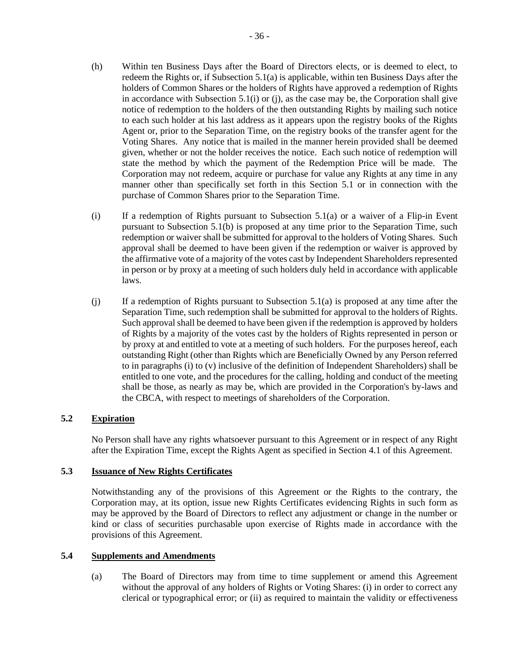- (h) Within ten Business Days after the Board of Directors elects, or is deemed to elect, to redeem the Rights or, if Subsection [5.1\(a\)](#page-36-3) is applicable, within ten Business Days after the holders of Common Shares or the holders of Rights have approved a redemption of Rights in accordance with Subsection  $5.1(i)$  or [\(j\),](#page-38-2) as the case may be, the Corporation shall give notice of redemption to the holders of the then outstanding Rights by mailing such notice to each such holder at his last address as it appears upon the registry books of the Rights Agent or, prior to the Separation Time, on the registry books of the transfer agent for the Voting Shares. Any notice that is mailed in the manner herein provided shall be deemed given, whether or not the holder receives the notice. Each such notice of redemption will state the method by which the payment of the Redemption Price will be made. The Corporation may not redeem, acquire or purchase for value any Rights at any time in any manner other than specifically set forth in this Section [5.1](#page-36-4) or in connection with the purchase of Common Shares prior to the Separation Time.
- <span id="page-38-1"></span> $(i)$  If a redemption of Rights pursuant to Subsection [5.1\(a\)](#page-36-3) or a waiver of a Flip-in Event pursuant to Subsection [5.1\(b\)](#page-36-0) is proposed at any time prior to the Separation Time, such redemption or waiver shall be submitted for approval to the holders of Voting Shares. Such approval shall be deemed to have been given if the redemption or waiver is approved by the affirmative vote of a majority of the votes cast by Independent Shareholders represented in person or by proxy at a meeting of such holders duly held in accordance with applicable laws.
- <span id="page-38-2"></span> $(i)$  If a redemption of Rights pursuant to Subsection [5.1\(a\)](#page-36-3) is proposed at any time after the Separation Time, such redemption shall be submitted for approval to the holders of Rights. Such approval shall be deemed to have been given if the redemption is approved by holders of Rights by a majority of the votes cast by the holders of Rights represented in person or by proxy at and entitled to vote at a meeting of such holders. For the purposes hereof, each outstanding Right (other than Rights which are Beneficially Owned by any Person referred to in paragraphs [\(i\)](#page-10-2) to [\(v\)](#page-10-3) inclusive of the definition of Independent Shareholders) shall be entitled to one vote, and the procedures for the calling, holding and conduct of the meeting shall be those, as nearly as may be, which are provided in the Corporation's by-laws and the CBCA, with respect to meetings of shareholders of the Corporation.

## **5.2 Expiration**

No Person shall have any rights whatsoever pursuant to this Agreement or in respect of any Right after the Expiration Time, except the Rights Agent as specified in Section [4.1](#page-32-1) of this Agreement.

## **5.3 Issuance of New Rights Certificates**

Notwithstanding any of the provisions of this Agreement or the Rights to the contrary, the Corporation may, at its option, issue new Rights Certificates evidencing Rights in such form as may be approved by the Board of Directors to reflect any adjustment or change in the number or kind or class of securities purchasable upon exercise of Rights made in accordance with the provisions of this Agreement.

## <span id="page-38-3"></span><span id="page-38-0"></span>**5.4 Supplements and Amendments**

(a) The Board of Directors may from time to time supplement or amend this Agreement without the approval of any holders of Rights or Voting Shares: (i) in order to correct any clerical or typographical error; or (ii) as required to maintain the validity or effectiveness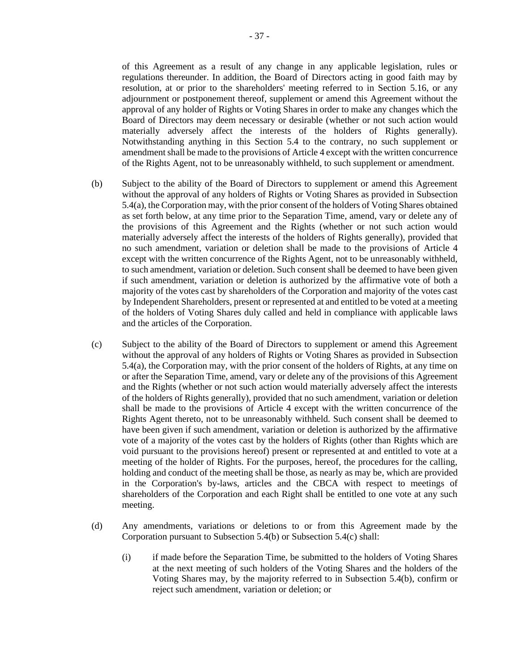of this Agreement as a result of any change in any applicable legislation, rules or regulations thereunder. In addition, the Board of Directors acting in good faith may by resolution, at or prior to the shareholders' meeting referred to in Section [5.16,](#page-43-0) or any adjournment or postponement thereof, supplement or amend this Agreement without the approval of any holder of Rights or Voting Shares in order to make any changes which the Board of Directors may deem necessary or desirable (whether or not such action would materially adversely affect the interests of the holders of Rights generally). Notwithstanding anything in this Section [5.4](#page-38-0) to the contrary, no such supplement or amendment shall be made to the provisions o[f Article 4](#page-32-2) except with the written concurrence of the Rights Agent, not to be unreasonably withheld, to such supplement or amendment.

- <span id="page-39-0"></span>(b) Subject to the ability of the Board of Directors to supplement or amend this Agreement without the approval of any holders of Rights or Voting Shares as provided in Subsection [5.4\(a\),](#page-38-3) the Corporation may, with the prior consent of the holders of Voting Shares obtained as set forth below, at any time prior to the Separation Time, amend, vary or delete any of the provisions of this Agreement and the Rights (whether or not such action would materially adversely affect the interests of the holders of Rights generally), provided that no such amendment, variation or deletion shall be made to the provisions of [Article 4](#page-32-2) except with the written concurrence of the Rights Agent, not to be unreasonably withheld, to such amendment, variation or deletion. Such consent shall be deemed to have been given if such amendment, variation or deletion is authorized by the affirmative vote of both a majority of the votes cast by shareholders of the Corporation and majority of the votes cast by Independent Shareholders, present or represented at and entitled to be voted at a meeting of the holders of Voting Shares duly called and held in compliance with applicable laws and the articles of the Corporation.
- <span id="page-39-1"></span>(c) Subject to the ability of the Board of Directors to supplement or amend this Agreement without the approval of any holders of Rights or Voting Shares as provided in Subsection [5.4\(a\),](#page-38-3) the Corporation may, with the prior consent of the holders of Rights, at any time on or after the Separation Time, amend, vary or delete any of the provisions of this Agreement and the Rights (whether or not such action would materially adversely affect the interests of the holders of Rights generally), provided that no such amendment, variation or deletion shall be made to the provisions of [Article 4](#page-32-2) except with the written concurrence of the Rights Agent thereto, not to be unreasonably withheld. Such consent shall be deemed to have been given if such amendment, variation or deletion is authorized by the affirmative vote of a majority of the votes cast by the holders of Rights (other than Rights which are void pursuant to the provisions hereof) present or represented at and entitled to vote at a meeting of the holder of Rights. For the purposes, hereof, the procedures for the calling, holding and conduct of the meeting shall be those, as nearly as may be, which are provided in the Corporation's by-laws, articles and the CBCA with respect to meetings of shareholders of the Corporation and each Right shall be entitled to one vote at any such meeting.
- (d) Any amendments, variations or deletions to or from this Agreement made by the Corporation pursuant to Subsection [5.4\(b\)](#page-39-0) or Subsection [5.4\(c\)](#page-39-1) shall:
	- (i) if made before the Separation Time, be submitted to the holders of Voting Shares at the next meeting of such holders of the Voting Shares and the holders of the Voting Shares may, by the majority referred to in Subsection [5.4\(b\),](#page-39-0) confirm or reject such amendment, variation or deletion; or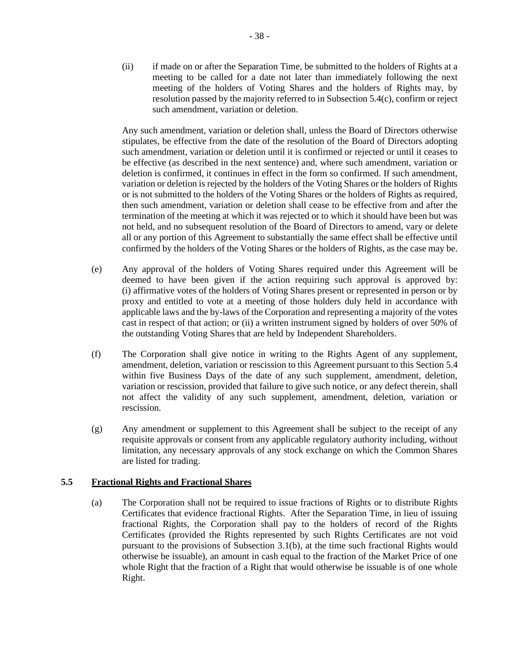(ii) if made on or after the Separation Time, be submitted to the holders of Rights at a meeting to be called for a date not later than immediately following the next meeting of the holders of Voting Shares and the holders of Rights may, by resolution passed by the majority referred to in Subsection [5.4\(c\),](#page-39-1) confirm or reject such amendment, variation or deletion.

Any such amendment, variation or deletion shall, unless the Board of Directors otherwise stipulates, be effective from the date of the resolution of the Board of Directors adopting such amendment, variation or deletion until it is confirmed or rejected or until it ceases to be effective (as described in the next sentence) and, where such amendment, variation or deletion is confirmed, it continues in effect in the form so confirmed. If such amendment, variation or deletion is rejected by the holders of the Voting Shares or the holders of Rights or is not submitted to the holders of the Voting Shares or the holders of Rights as required, then such amendment, variation or deletion shall cease to be effective from and after the termination of the meeting at which it was rejected or to which it should have been but was not held, and no subsequent resolution of the Board of Directors to amend, vary or delete all or any portion of this Agreement to substantially the same effect shall be effective until confirmed by the holders of the Voting Shares or the holders of Rights, as the case may be.

- (e) Any approval of the holders of Voting Shares required under this Agreement will be deemed to have been given if the action requiring such approval is approved by: (i) affirmative votes of the holders of Voting Shares present or represented in person or by proxy and entitled to vote at a meeting of those holders duly held in accordance with applicable laws and the by-laws of the Corporation and representing a majority of the votes cast in respect of that action; or (ii) a written instrument signed by holders of over 50% of the outstanding Voting Shares that are held by Independent Shareholders.
- (f) The Corporation shall give notice in writing to the Rights Agent of any supplement, amendment, deletion, variation or rescission to this Agreement pursuant to this Section [5.4](#page-38-0) within five Business Days of the date of any such supplement, amendment, deletion, variation or rescission, provided that failure to give such notice, or any defect therein, shall not affect the validity of any such supplement, amendment, deletion, variation or rescission.
- (g) Any amendment or supplement to this Agreement shall be subject to the receipt of any requisite approvals or consent from any applicable regulatory authority including, without limitation, any necessary approvals of any stock exchange on which the Common Shares are listed for trading.

# <span id="page-40-1"></span><span id="page-40-0"></span>**5.5 Fractional Rights and Fractional Shares**

(a) The Corporation shall not be required to issue fractions of Rights or to distribute Rights Certificates that evidence fractional Rights. After the Separation Time, in lieu of issuing fractional Rights, the Corporation shall pay to the holders of record of the Rights Certificates (provided the Rights represented by such Rights Certificates are not void pursuant to the provisions of Subsection [3.1\(b\),](#page-31-0) at the time such fractional Rights would otherwise be issuable), an amount in cash equal to the fraction of the Market Price of one whole Right that the fraction of a Right that would otherwise be issuable is of one whole Right.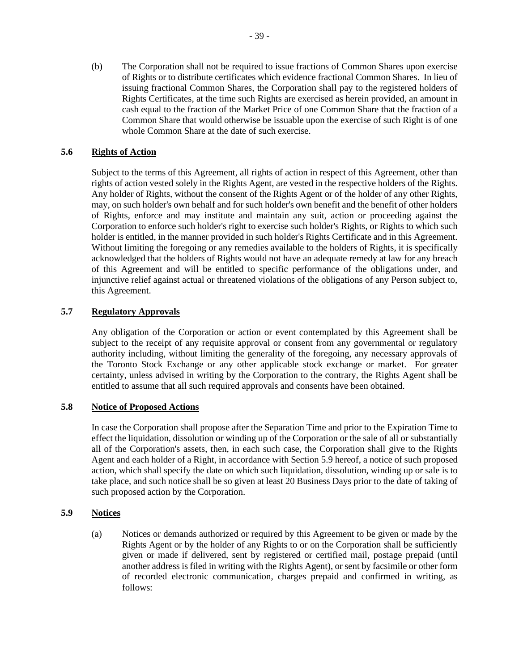(b) The Corporation shall not be required to issue fractions of Common Shares upon exercise of Rights or to distribute certificates which evidence fractional Common Shares. In lieu of issuing fractional Common Shares, the Corporation shall pay to the registered holders of Rights Certificates, at the time such Rights are exercised as herein provided, an amount in cash equal to the fraction of the Market Price of one Common Share that the fraction of a Common Share that would otherwise be issuable upon the exercise of such Right is of one whole Common Share at the date of such exercise.

## **5.6 Rights of Action**

Subject to the terms of this Agreement, all rights of action in respect of this Agreement, other than rights of action vested solely in the Rights Agent, are vested in the respective holders of the Rights. Any holder of Rights, without the consent of the Rights Agent or of the holder of any other Rights, may, on such holder's own behalf and for such holder's own benefit and the benefit of other holders of Rights, enforce and may institute and maintain any suit, action or proceeding against the Corporation to enforce such holder's right to exercise such holder's Rights, or Rights to which such holder is entitled, in the manner provided in such holder's Rights Certificate and in this Agreement. Without limiting the foregoing or any remedies available to the holders of Rights, it is specifically acknowledged that the holders of Rights would not have an adequate remedy at law for any breach of this Agreement and will be entitled to specific performance of the obligations under, and injunctive relief against actual or threatened violations of the obligations of any Person subject to, this Agreement.

## **5.7 Regulatory Approvals**

Any obligation of the Corporation or action or event contemplated by this Agreement shall be subject to the receipt of any requisite approval or consent from any governmental or regulatory authority including, without limiting the generality of the foregoing, any necessary approvals of the Toronto Stock Exchange or any other applicable stock exchange or market. For greater certainty, unless advised in writing by the Corporation to the contrary, the Rights Agent shall be entitled to assume that all such required approvals and consents have been obtained.

## **5.8 Notice of Proposed Actions**

In case the Corporation shall propose after the Separation Time and prior to the Expiration Time to effect the liquidation, dissolution or winding up of the Corporation or the sale of all or substantially all of the Corporation's assets, then, in each such case, the Corporation shall give to the Rights Agent and each holder of a Right, in accordance with Section [5.9](#page-41-0) hereof, a notice of such proposed action, which shall specify the date on which such liquidation, dissolution, winding up or sale is to take place, and such notice shall be so given at least 20 Business Days prior to the date of taking of such proposed action by the Corporation.

# <span id="page-41-0"></span>**5.9 Notices**

(a) Notices or demands authorized or required by this Agreement to be given or made by the Rights Agent or by the holder of any Rights to or on the Corporation shall be sufficiently given or made if delivered, sent by registered or certified mail, postage prepaid (until another address is filed in writing with the Rights Agent), or sent by facsimile or other form of recorded electronic communication, charges prepaid and confirmed in writing, as follows: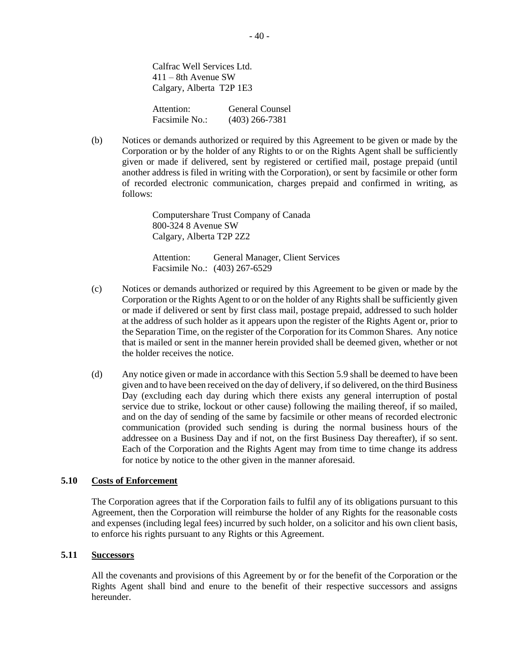Calfrac Well Services Ltd.  $411 - 8$ th Avenue SW Calgary, Alberta T2P 1E3

| Attention:     | General Counsel  |
|----------------|------------------|
| Facsimile No.: | $(403)$ 266-7381 |

(b) Notices or demands authorized or required by this Agreement to be given or made by the Corporation or by the holder of any Rights to or on the Rights Agent shall be sufficiently given or made if delivered, sent by registered or certified mail, postage prepaid (until another address is filed in writing with the Corporation), or sent by facsimile or other form of recorded electronic communication, charges prepaid and confirmed in writing, as follows:

> Computershare Trust Company of Canada 800-324 8 Avenue SW Calgary, Alberta T2P 2Z2

Attention: General Manager, Client Services Facsimile No.: (403) 267-6529

- (c) Notices or demands authorized or required by this Agreement to be given or made by the Corporation or the Rights Agent to or on the holder of any Rights shall be sufficiently given or made if delivered or sent by first class mail, postage prepaid, addressed to such holder at the address of such holder as it appears upon the register of the Rights Agent or, prior to the Separation Time, on the register of the Corporation for its Common Shares. Any notice that is mailed or sent in the manner herein provided shall be deemed given, whether or not the holder receives the notice.
- (d) Any notice given or made in accordance with this Section [5.9](#page-41-0) shall be deemed to have been given and to have been received on the day of delivery, if so delivered, on the third Business Day (excluding each day during which there exists any general interruption of postal service due to strike, lockout or other cause) following the mailing thereof, if so mailed, and on the day of sending of the same by facsimile or other means of recorded electronic communication (provided such sending is during the normal business hours of the addressee on a Business Day and if not, on the first Business Day thereafter), if so sent. Each of the Corporation and the Rights Agent may from time to time change its address for notice by notice to the other given in the manner aforesaid.

### **5.10 Costs of Enforcement**

The Corporation agrees that if the Corporation fails to fulfil any of its obligations pursuant to this Agreement, then the Corporation will reimburse the holder of any Rights for the reasonable costs and expenses (including legal fees) incurred by such holder, on a solicitor and his own client basis, to enforce his rights pursuant to any Rights or this Agreement.

### **5.11 Successors**

All the covenants and provisions of this Agreement by or for the benefit of the Corporation or the Rights Agent shall bind and enure to the benefit of their respective successors and assigns hereunder.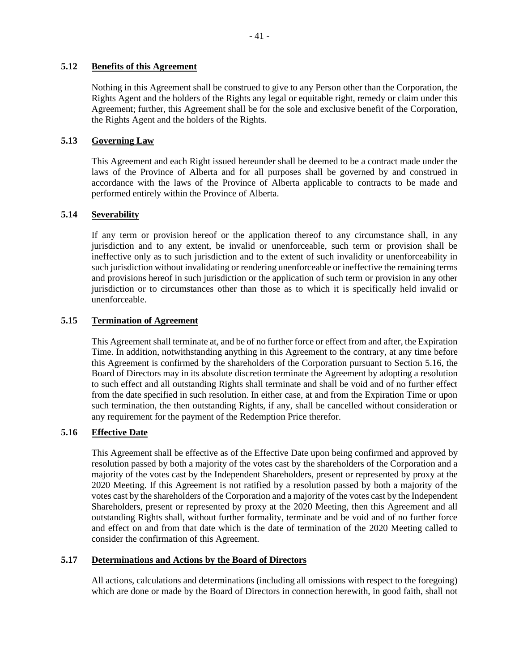### **5.12 Benefits of this Agreement**

Nothing in this Agreement shall be construed to give to any Person other than the Corporation, the Rights Agent and the holders of the Rights any legal or equitable right, remedy or claim under this Agreement; further, this Agreement shall be for the sole and exclusive benefit of the Corporation, the Rights Agent and the holders of the Rights.

## **5.13 Governing Law**

This Agreement and each Right issued hereunder shall be deemed to be a contract made under the laws of the Province of Alberta and for all purposes shall be governed by and construed in accordance with the laws of the Province of Alberta applicable to contracts to be made and performed entirely within the Province of Alberta.

# **5.14 Severability**

If any term or provision hereof or the application thereof to any circumstance shall, in any jurisdiction and to any extent, be invalid or unenforceable, such term or provision shall be ineffective only as to such jurisdiction and to the extent of such invalidity or unenforceability in such jurisdiction without invalidating or rendering unenforceable or ineffective the remaining terms and provisions hereof in such jurisdiction or the application of such term or provision in any other jurisdiction or to circumstances other than those as to which it is specifically held invalid or unenforceable.

## <span id="page-43-1"></span>**5.15 Termination of Agreement**

This Agreement shall terminate at, and be of no further force or effect from and after, the Expiration Time. In addition, notwithstanding anything in this Agreement to the contrary, at any time before this Agreement is confirmed by the shareholders of the Corporation pursuant to Section [5.16,](#page-43-0) the Board of Directors may in its absolute discretion terminate the Agreement by adopting a resolution to such effect and all outstanding Rights shall terminate and shall be void and of no further effect from the date specified in such resolution. In either case, at and from the Expiration Time or upon such termination, the then outstanding Rights, if any, shall be cancelled without consideration or any requirement for the payment of the Redemption Price therefor.

## <span id="page-43-0"></span>**5.16 Effective Date**

This Agreement shall be effective as of the Effective Date upon being confirmed and approved by resolution passed by both a majority of the votes cast by the shareholders of the Corporation and a majority of the votes cast by the Independent Shareholders, present or represented by proxy at the 2020 Meeting. If this Agreement is not ratified by a resolution passed by both a majority of the votes cast by the shareholders of the Corporation and a majority of the votes cast by the Independent Shareholders, present or represented by proxy at the 2020 Meeting, then this Agreement and all outstanding Rights shall, without further formality, terminate and be void and of no further force and effect on and from that date which is the date of termination of the 2020 Meeting called to consider the confirmation of this Agreement.

## **5.17 Determinations and Actions by the Board of Directors**

All actions, calculations and determinations (including all omissions with respect to the foregoing) which are done or made by the Board of Directors in connection herewith, in good faith, shall not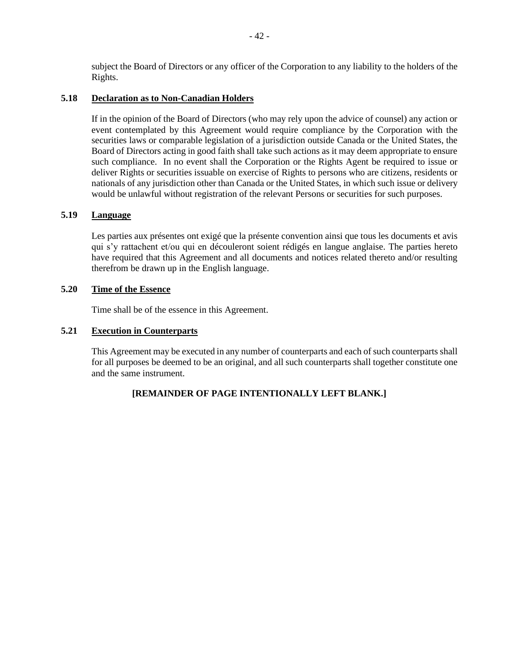subject the Board of Directors or any officer of the Corporation to any liability to the holders of the Rights.

### **5.18 Declaration as to Non-Canadian Holders**

If in the opinion of the Board of Directors (who may rely upon the advice of counsel) any action or event contemplated by this Agreement would require compliance by the Corporation with the securities laws or comparable legislation of a jurisdiction outside Canada or the United States, the Board of Directors acting in good faith shall take such actions as it may deem appropriate to ensure such compliance. In no event shall the Corporation or the Rights Agent be required to issue or deliver Rights or securities issuable on exercise of Rights to persons who are citizens, residents or nationals of any jurisdiction other than Canada or the United States, in which such issue or delivery would be unlawful without registration of the relevant Persons or securities for such purposes.

## **5.19 Language**

Les parties aux présentes ont exigé que la présente convention ainsi que tous les documents et avis qui s'y rattachent et/ou qui en découleront soient rédigés en langue anglaise. The parties hereto have required that this Agreement and all documents and notices related thereto and/or resulting therefrom be drawn up in the English language.

### **5.20 Time of the Essence**

Time shall be of the essence in this Agreement.

## **5.21 Execution in Counterparts**

This Agreement may be executed in any number of counterparts and each of such counterparts shall for all purposes be deemed to be an original, and all such counterparts shall together constitute one and the same instrument.

## **[REMAINDER OF PAGE INTENTIONALLY LEFT BLANK.]**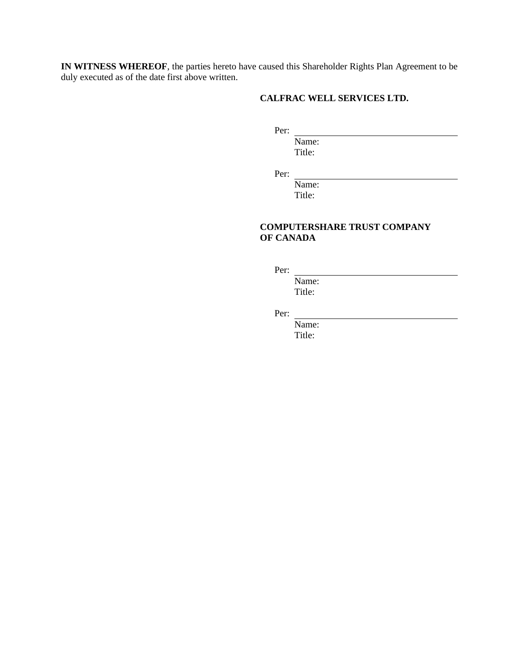**IN WITNESS WHEREOF**, the parties hereto have caused this Shareholder Rights Plan Agreement to be duly executed as of the date first above written.

# **CALFRAC WELL SERVICES LTD.**

Per:

Name: Title:

Per:

Name: Title:

# **COMPUTERSHARE TRUST COMPANY OF CANADA**

Per:

Name: Title:

Per:

Name: Title: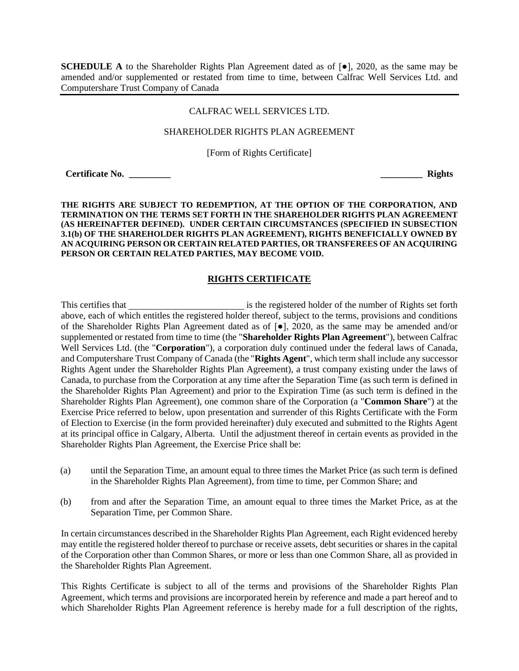**SCHEDULE A** to the Shareholder Rights Plan Agreement dated as of [●], 2020, as the same may be amended and/or supplemented or restated from time to time, between Calfrac Well Services Ltd. and Computershare Trust Company of Canada

#### CALFRAC WELL SERVICES LTD.

#### SHAREHOLDER RIGHTS PLAN AGREEMENT

[Form of Rights Certificate]

**Certificate No. \_\_\_\_\_\_\_\_\_ \_\_\_\_\_\_\_\_\_ Rights**

#### **THE RIGHTS ARE SUBJECT TO REDEMPTION, AT THE OPTION OF THE CORPORATION, AND TERMINATION ON THE TERMS SET FORTH IN THE SHAREHOLDER RIGHTS PLAN AGREEMENT (AS HEREINAFTER DEFINED). UNDER CERTAIN CIRCUMSTANCES (SPECIFIED IN SUBSECTION [3.1\(b\)](#page-31-0) OF THE SHAREHOLDER RIGHTS PLAN AGREEMENT), RIGHTS BENEFICIALLY OWNED BY AN ACQUIRING PERSON OR CERTAIN RELATED PARTIES, OR TRANSFEREES OF AN ACQUIRING PERSON OR CERTAIN RELATED PARTIES, MAY BECOME VOID.**

## **RIGHTS CERTIFICATE**

This certifies that **is the registered holder of the number of Rights set forth** above, each of which entitles the registered holder thereof, subject to the terms, provisions and conditions of the Shareholder Rights Plan Agreement dated as of [●], 2020, as the same may be amended and/or supplemented or restated from time to time (the "**Shareholder Rights Plan Agreement**"), between Calfrac Well Services Ltd. (the "**Corporation**"), a corporation duly continued under the federal laws of Canada, and Computershare Trust Company of Canada (the "**Rights Agent**", which term shall include any successor Rights Agent under the Shareholder Rights Plan Agreement), a trust company existing under the laws of Canada, to purchase from the Corporation at any time after the Separation Time (as such term is defined in the Shareholder Rights Plan Agreement) and prior to the Expiration Time (as such term is defined in the Shareholder Rights Plan Agreement), one common share of the Corporation (a "**Common Share**") at the Exercise Price referred to below, upon presentation and surrender of this Rights Certificate with the Form of Election to Exercise (in the form provided hereinafter) duly executed and submitted to the Rights Agent at its principal office in Calgary, Alberta. Until the adjustment thereof in certain events as provided in the Shareholder Rights Plan Agreement, the Exercise Price shall be:

- (a) until the Separation Time, an amount equal to three times the Market Price (as such term is defined in the Shareholder Rights Plan Agreement), from time to time, per Common Share; and
- (b) from and after the Separation Time, an amount equal to three times the Market Price, as at the Separation Time, per Common Share.

In certain circumstances described in the Shareholder Rights Plan Agreement, each Right evidenced hereby may entitle the registered holder thereof to purchase or receive assets, debt securities or shares in the capital of the Corporation other than Common Shares, or more or less than one Common Share, all as provided in the Shareholder Rights Plan Agreement.

This Rights Certificate is subject to all of the terms and provisions of the Shareholder Rights Plan Agreement, which terms and provisions are incorporated herein by reference and made a part hereof and to which Shareholder Rights Plan Agreement reference is hereby made for a full description of the rights,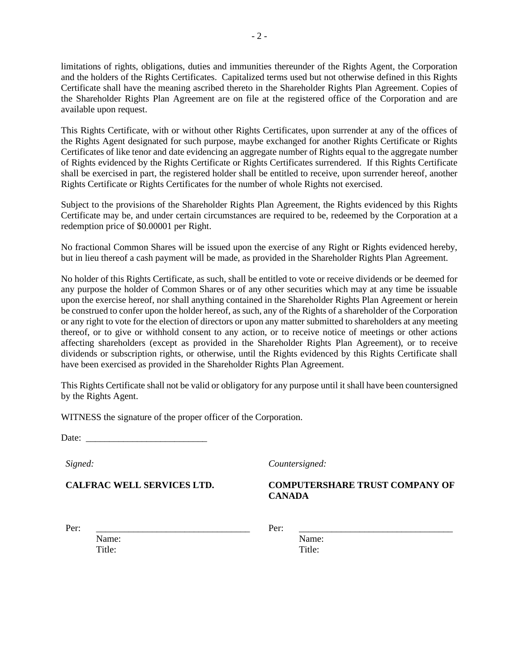limitations of rights, obligations, duties and immunities thereunder of the Rights Agent, the Corporation and the holders of the Rights Certificates. Capitalized terms used but not otherwise defined in this Rights Certificate shall have the meaning ascribed thereto in the Shareholder Rights Plan Agreement. Copies of the Shareholder Rights Plan Agreement are on file at the registered office of the Corporation and are available upon request.

This Rights Certificate, with or without other Rights Certificates, upon surrender at any of the offices of the Rights Agent designated for such purpose, maybe exchanged for another Rights Certificate or Rights Certificates of like tenor and date evidencing an aggregate number of Rights equal to the aggregate number of Rights evidenced by the Rights Certificate or Rights Certificates surrendered. If this Rights Certificate shall be exercised in part, the registered holder shall be entitled to receive, upon surrender hereof, another Rights Certificate or Rights Certificates for the number of whole Rights not exercised.

Subject to the provisions of the Shareholder Rights Plan Agreement, the Rights evidenced by this Rights Certificate may be, and under certain circumstances are required to be, redeemed by the Corporation at a redemption price of \$0.00001 per Right.

No fractional Common Shares will be issued upon the exercise of any Right or Rights evidenced hereby, but in lieu thereof a cash payment will be made, as provided in the Shareholder Rights Plan Agreement.

No holder of this Rights Certificate, as such, shall be entitled to vote or receive dividends or be deemed for any purpose the holder of Common Shares or of any other securities which may at any time be issuable upon the exercise hereof, nor shall anything contained in the Shareholder Rights Plan Agreement or herein be construed to confer upon the holder hereof, as such, any of the Rights of a shareholder of the Corporation or any right to vote for the election of directors or upon any matter submitted to shareholders at any meeting thereof, or to give or withhold consent to any action, or to receive notice of meetings or other actions affecting shareholders (except as provided in the Shareholder Rights Plan Agreement), or to receive dividends or subscription rights, or otherwise, until the Rights evidenced by this Rights Certificate shall have been exercised as provided in the Shareholder Rights Plan Agreement.

This Rights Certificate shall not be valid or obligatory for any purpose until it shall have been countersigned by the Rights Agent.

WITNESS the signature of the proper officer of the Corporation.

Date:

*Signed:*

**CALFRAC WELL SERVICES LTD.**

## *Countersigned:*

# **COMPUTERSHARE TRUST COMPANY OF CANADA**

Per: \_\_\_\_\_\_\_\_\_\_\_\_\_\_\_\_\_\_\_\_\_\_\_\_\_\_\_\_\_\_\_\_\_

Name: Title:

Per: \_\_\_\_\_\_\_\_\_\_\_\_\_\_\_\_\_\_\_\_\_\_\_\_\_\_\_\_\_\_\_\_\_

Name: Title: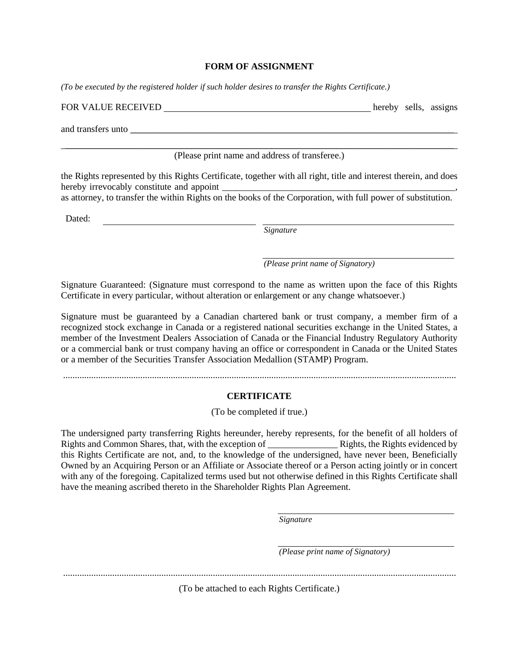#### **FORM OF ASSIGNMENT**

*(To be executed by the registered holder if such holder desires to transfer the Rights Certificate.)*

| FOR VALUE RECEIVED |  | hereby sells, assigns |
|--------------------|--|-----------------------|
|                    |  |                       |
| and transfers unto |  |                       |

\_\_\_\_\_\_\_\_\_\_\_\_\_\_\_\_\_\_\_\_\_\_\_\_\_\_\_\_\_\_\_\_\_\_\_\_\_\_\_\_\_\_\_\_\_\_\_\_\_\_\_\_\_\_\_\_\_\_\_\_\_\_\_\_\_\_\_\_\_\_\_\_\_\_\_\_\_\_\_\_\_\_\_ (Please print name and address of transferee.)

the Rights represented by this Rights Certificate, together with all right, title and interest therein, and does hereby irrevocably constitute and appoint

as attorney, to transfer the within Rights on the books of the Corporation, with full power of substitution.

Dated:

*Signature*

*(Please print name of Signatory)*

Signature Guaranteed: (Signature must correspond to the name as written upon the face of this Rights Certificate in every particular, without alteration or enlargement or any change whatsoever.)

Signature must be guaranteed by a Canadian chartered bank or trust company, a member firm of a recognized stock exchange in Canada or a registered national securities exchange in the United States, a member of the Investment Dealers Association of Canada or the Financial Industry Regulatory Authority or a commercial bank or trust company having an office or correspondent in Canada or the United States or a member of the Securities Transfer Association Medallion (STAMP) Program.

........................................................................................................................................................................

## **CERTIFICATE**

(To be completed if true.)

The undersigned party transferring Rights hereunder, hereby represents, for the benefit of all holders of Rights and Common Shares, that, with the exception of  $\qquad \qquad$  Rights, the Rights evidenced by this Rights Certificate are not, and, to the knowledge of the undersigned, have never been, Beneficially Owned by an Acquiring Person or an Affiliate or Associate thereof or a Person acting jointly or in concert with any of the foregoing. Capitalized terms used but not otherwise defined in this Rights Certificate shall have the meaning ascribed thereto in the Shareholder Rights Plan Agreement.

*Signature*

*(Please print name of Signatory)*

........................................................................................................................................................................

(To be attached to each Rights Certificate.)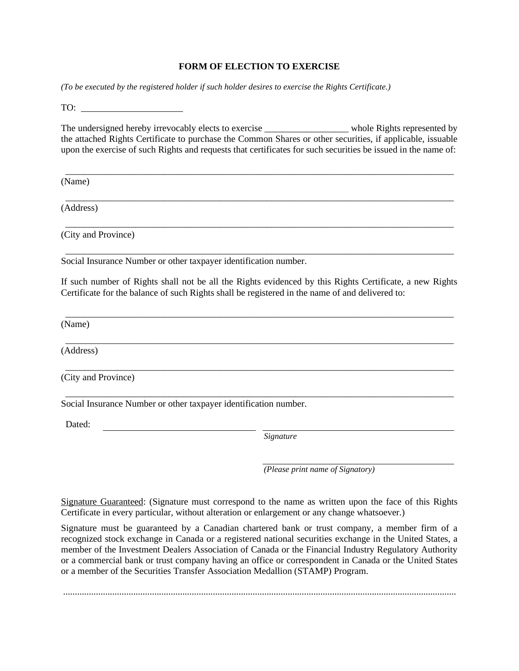### **FORM OF ELECTION TO EXERCISE**

*(To be executed by the registered holder if such holder desires to exercise the Rights Certificate.)* 

TO:

The undersigned hereby irrevocably elects to exercise \_\_\_\_\_\_\_\_\_\_\_\_\_\_\_\_\_\_\_\_\_\_ whole Rights represented by the attached Rights Certificate to purchase the Common Shares or other securities, if applicable, issuable upon the exercise of such Rights and requests that certificates for such securities be issued in the name of:

\_\_\_\_\_\_\_\_\_\_\_\_\_\_\_\_\_\_\_\_\_\_\_\_\_\_\_\_\_\_\_\_\_\_\_\_\_\_\_\_\_\_\_\_\_\_\_\_\_\_\_\_\_\_\_\_\_\_\_\_\_\_\_\_\_\_\_\_\_\_\_\_\_\_\_\_\_\_\_\_\_\_\_

\_\_\_\_\_\_\_\_\_\_\_\_\_\_\_\_\_\_\_\_\_\_\_\_\_\_\_\_\_\_\_\_\_\_\_\_\_\_\_\_\_\_\_\_\_\_\_\_\_\_\_\_\_\_\_\_\_\_\_\_\_\_\_\_\_\_\_\_\_\_\_\_\_\_\_\_\_\_\_\_\_\_\_

\_\_\_\_\_\_\_\_\_\_\_\_\_\_\_\_\_\_\_\_\_\_\_\_\_\_\_\_\_\_\_\_\_\_\_\_\_\_\_\_\_\_\_\_\_\_\_\_\_\_\_\_\_\_\_\_\_\_\_\_\_\_\_\_\_\_\_\_\_\_\_\_\_\_\_\_\_\_\_\_\_\_\_

\_\_\_\_\_\_\_\_\_\_\_\_\_\_\_\_\_\_\_\_\_\_\_\_\_\_\_\_\_\_\_\_\_\_\_\_\_\_\_\_\_\_\_\_\_\_\_\_\_\_\_\_\_\_\_\_\_\_\_\_\_\_\_\_\_\_\_\_\_\_\_\_\_\_\_\_\_\_\_\_\_\_\_

(Name)

(Address)

(City and Province)

Social Insurance Number or other taxpayer identification number.

If such number of Rights shall not be all the Rights evidenced by this Rights Certificate, a new Rights Certificate for the balance of such Rights shall be registered in the name of and delivered to:

\_\_\_\_\_\_\_\_\_\_\_\_\_\_\_\_\_\_\_\_\_\_\_\_\_\_\_\_\_\_\_\_\_\_\_\_\_\_\_\_\_\_\_\_\_\_\_\_\_\_\_\_\_\_\_\_\_\_\_\_\_\_\_\_\_\_\_\_\_\_\_\_\_\_\_\_\_\_\_\_\_\_\_

\_\_\_\_\_\_\_\_\_\_\_\_\_\_\_\_\_\_\_\_\_\_\_\_\_\_\_\_\_\_\_\_\_\_\_\_\_\_\_\_\_\_\_\_\_\_\_\_\_\_\_\_\_\_\_\_\_\_\_\_\_\_\_\_\_\_\_\_\_\_\_\_\_\_\_\_\_\_\_\_\_\_\_

\_\_\_\_\_\_\_\_\_\_\_\_\_\_\_\_\_\_\_\_\_\_\_\_\_\_\_\_\_\_\_\_\_\_\_\_\_\_\_\_\_\_\_\_\_\_\_\_\_\_\_\_\_\_\_\_\_\_\_\_\_\_\_\_\_\_\_\_\_\_\_\_\_\_\_\_\_\_\_\_\_\_\_

\_\_\_\_\_\_\_\_\_\_\_\_\_\_\_\_\_\_\_\_\_\_\_\_\_\_\_\_\_\_\_\_\_\_\_\_\_\_\_\_\_\_\_\_\_\_\_\_\_\_\_\_\_\_\_\_\_\_\_\_\_\_\_\_\_\_\_\_\_\_\_\_\_\_\_\_\_\_\_\_\_\_\_

(Name)

(Address)

(City and Province)

Social Insurance Number or other taxpayer identification number.

Dated:

*Signature*

*(Please print name of Signatory)*

Signature Guaranteed: (Signature must correspond to the name as written upon the face of this Rights Certificate in every particular, without alteration or enlargement or any change whatsoever.)

Signature must be guaranteed by a Canadian chartered bank or trust company, a member firm of a recognized stock exchange in Canada or a registered national securities exchange in the United States, a member of the Investment Dealers Association of Canada or the Financial Industry Regulatory Authority or a commercial bank or trust company having an office or correspondent in Canada or the United States or a member of the Securities Transfer Association Medallion (STAMP) Program.

........................................................................................................................................................................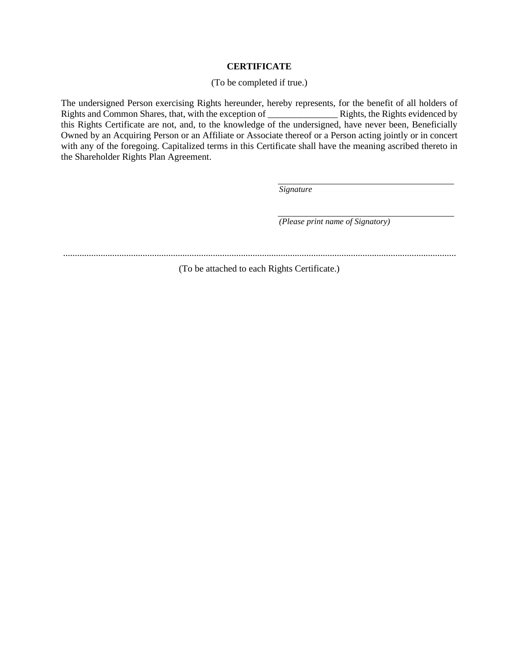### **CERTIFICATE**

#### (To be completed if true.)

The undersigned Person exercising Rights hereunder, hereby represents, for the benefit of all holders of Rights and Common Shares, that, with the exception of \_\_\_\_\_\_\_\_\_\_\_\_\_\_\_ Rights, the Rights evidenced by this Rights Certificate are not, and, to the knowledge of the undersigned, have never been, Beneficially Owned by an Acquiring Person or an Affiliate or Associate thereof or a Person acting jointly or in concert with any of the foregoing. Capitalized terms in this Certificate shall have the meaning ascribed thereto in the Shareholder Rights Plan Agreement.

*Signature*

*(Please print name of Signatory)*

........................................................................................................................................................................

(To be attached to each Rights Certificate.)